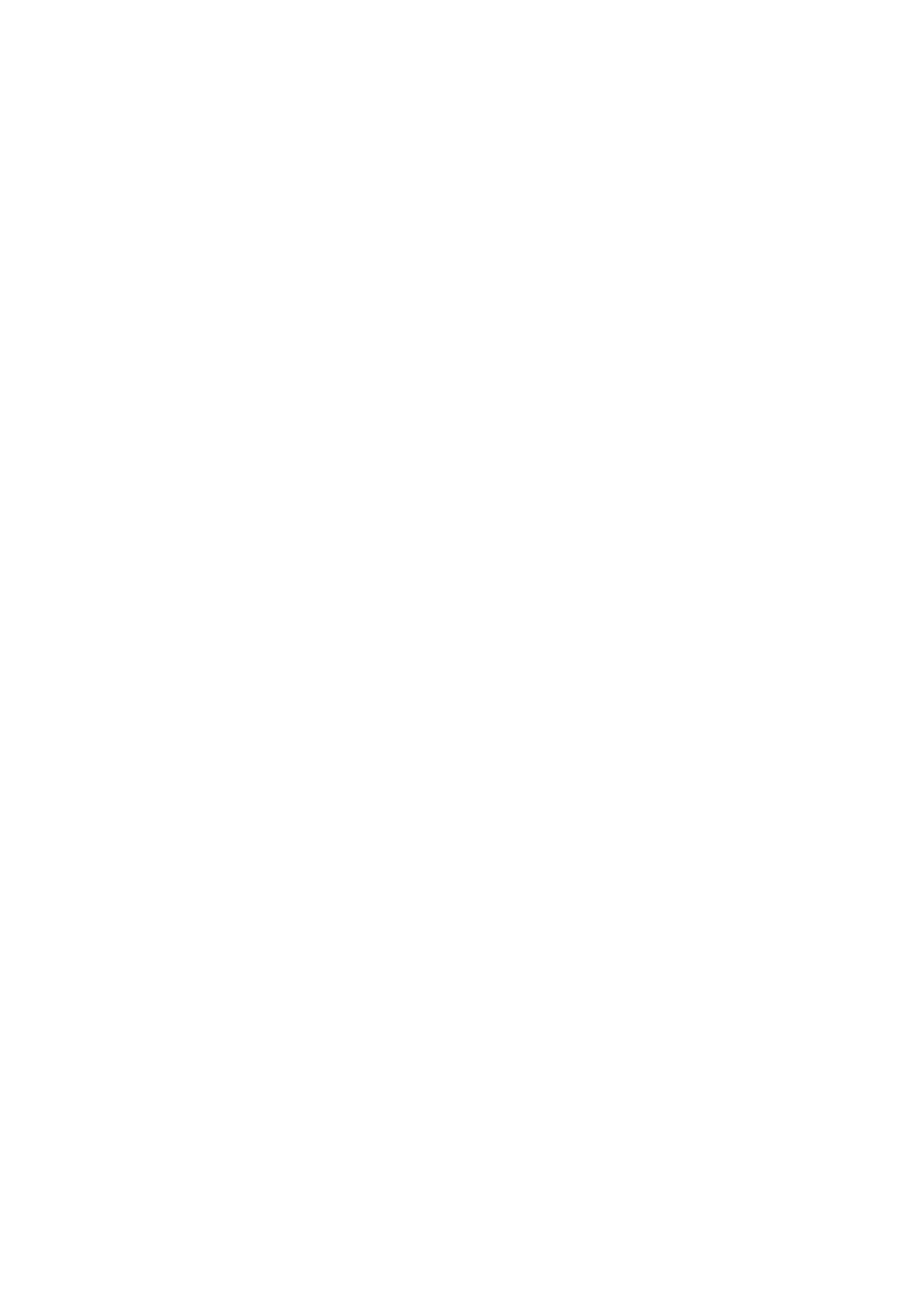# **UNIT-1 COMMUNITY DEVELOPMENT PROGRAMME**

# **Structure**

- 1.1 Introduction
- 1.2 Learning Objectives
- 1.3 Community development programme: Meaning & characteristic
	- 1.3.1 Objectives
	- 1.3.2 Organisation
	- 1.3.3 Scope
- 1.4 Cooperatives Movements
	- 1.4.1 The Achievements of the Co-operative Movement in India
	- 1.4.2 Failure of the cooperative movement in India
- 1.5 Panchayati Raj System
	- 1.5.1 Structure of the panchayats
	- 1.5.2 Features of 73rd amendment of the constitution
	- 1.5.3 Issues in panchayati raj today
- 1.6 Let us sum up
- 1.7 Glossary
- 1.8 Check your progress
- 1.9 Model questions
- 1.10 References

# **1.1 INTRODUCTION**

The Community Development Programme has been the biggest rural reconstruction scheme undertaken by the government of free India. It has been variously described as the magnacarta of hope and happiness for two-thirds of India's population, the testament of emancipation, the declaration of war on poverty, ignorance, squalor and disease under which millions have been groaning etc.

Its successful execution will bring back to village economic prosperity which characterised them in the not too distant past. The programme, therefore, seeks to regain a lost paradise. It is intended to bring both outward and inward grace to the Indian village. An attempt has been made to awaken him from the long stupor of ages, so that he may realise his due in life as well as shake off his lethargy and work in co-operation with government agencies to ameliorate his lot.

# **1.2 LEARNING OBJECTIVES**

After go through this unit, you will be able to  $-$ 

• Understand the Community development: meaning & Characteristic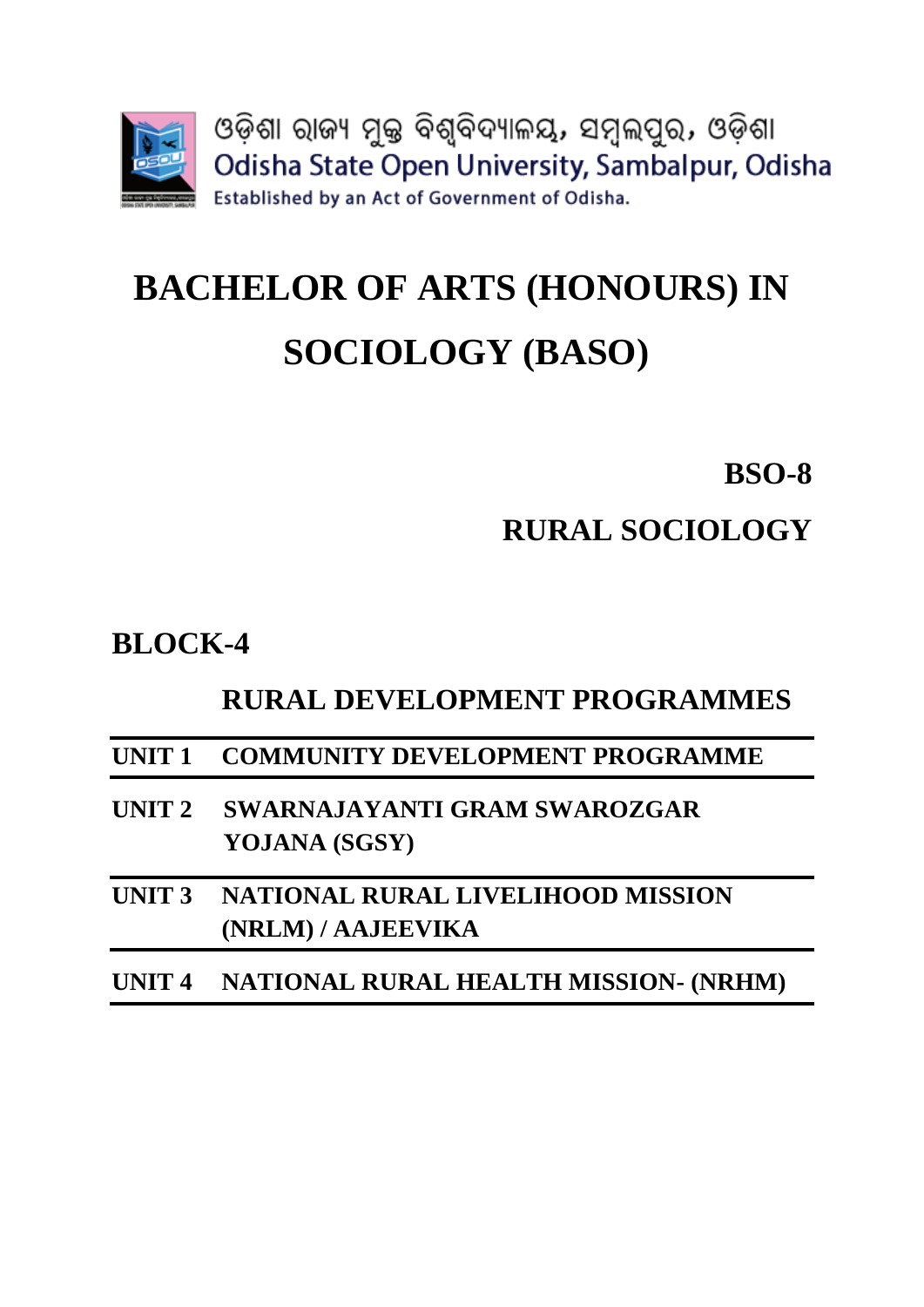- Explain the objectives of CDP
- Identify the scope of CDP

# **1.3 COMMUNITY DEVELOPMENT PROGRAMME: MEANING & CHARACTERISTIC**

The Community Development Programme of the present form is, in the main, an American concept. It is, in a way, the culmination of the economics of rural reconstruction as learnt and developed in the United States with its practical usefulness justified under the Indian conditions. The programme emerged out of the experiments made at Etawah and Gorakhpur under the inspiration of Albert Meyers.

The Planning Commission has defined the Community Development Programme in these words: "Community development is an attempt to bring about a social and economic transformation of village life through the efforts of the people themselves." The projects are of vital importance, according to Pandit Nehru, "not so much for the material achievements that they would bring about, but much more so, because they seem to build up the community and the individual and to make the latter the builder of his own village centers and of India in the larger sense." It is intended to apply it to the concept of the village community as a whole, cutting across caste, religious and economic differences.

# **Characteristics:**

Community Development Programme exhibits several characteristics. They are as follows:

- 1. It promotes self-confidence among the ruralites.
- 2. It develops self-reliance in the individual and initiative in the village community.
- 3. The community development programme effects change at the psychological level of the ruralites.
- 4. It seeks to create new administrative machinery suited to the manifold. It is pre-eminently people-oriented.
- 5. Community thinking and collective action are encouraged through people's institutions like the Panchayats, cooperative societies, Vikas mandals, etc.

# **Importance:**

The role of Community Development Programme in the context of the rural community cannot be gainsaid. The programme is instrumental in raising the standard of living of the ruralites and in reconstructing the rural India. Prof. Carl Taylor rightly observes that the programme signifies active cooperation and involvement of the ruralites in formulating and executing their own plans and programmes. The end result is social change, economic development and emergence of new local leadership at the village level.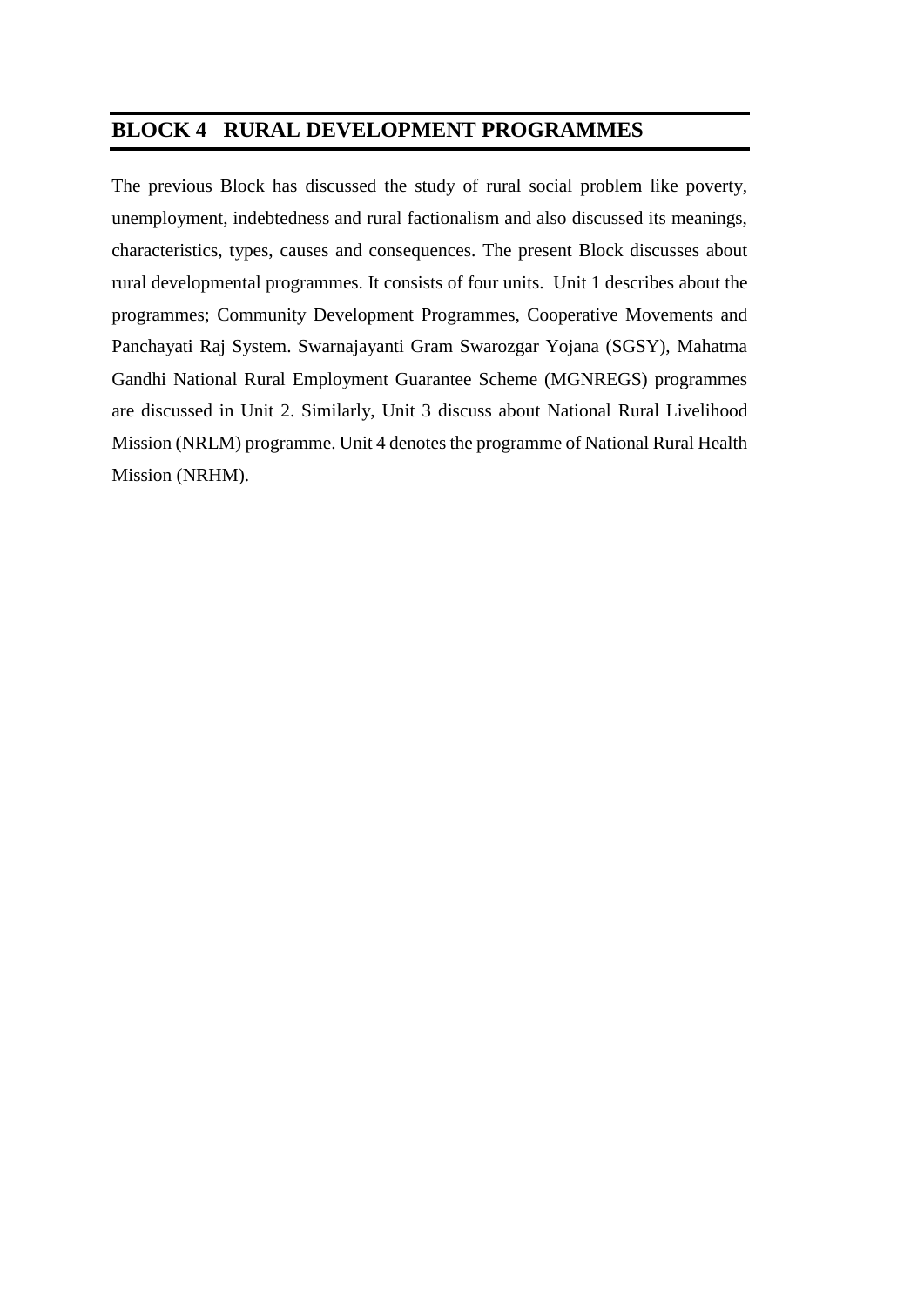# **1.3.1 Objectives:**

Prof. S. C. Dube has highlighted on two aims of Community Development Programme. They are- (a) achieving substantial agricultural production and considerable progress in the sphere of communication, rural health and rural education and (b) transforming the socio-economic life of the village through a process of integral cultural change. The aims of the Community Development Project have been divided into two parts. They are short-term objectives and longterm objectives.

# **Short-term objectives**

The short-term objectives are as follows:

- 1. To increase agricultural production both quantitatively and qualitatively.
- 2. To solve the problem of rural unemployment.
- 3. To develop the means of transport and communication in the villages through repairing old roads and constructing new pucka roads.
- 4. To bring about development in the sphere of primary education, public health and recreation.
- 5. To assist the villagers to build good and cheap houses with the help of modern plans and new building methods.
- 6. To set up and encourage cottage industries and indigenous handicrafts.

# **Long-term objectives:**

The long – term objective of community development projects refers to holistic development of rural life through optimum utilisation of physical and human resources. It is further oriented to provide all sorts of facilities available in a Welfare State to the ruralites. Taking care of the social, moral and financial progress of the villagers also comes within the purview of the long-term objectives of community development projects.

The Community Development Programme was inaugurated on October 2, 1952. Fifty-five community projects were launched. The programme launched in 1952 was extended to wider areas at the end of the First Five-Year Plan. Nearly one out of every three villages in India was brought within the orbit of this programme.

The Second Five-Year Plan proposed to bring every village in India under this scheme, 40 per cent of the area being brought under a more intensive development scheme. The programme was implemented through units of blocks, each community development block comprising generally 100 villages, an area of 400-500 square kms and a population of 60 to 70 thousand.

# **1.3.2 Organisation:**

The Community Development Programme is broadly divided into three phases. They are- (a) the National Extension Phase, (b) the Intensive Community Development Project Phase and (c) the Post-Intensive Development Phase.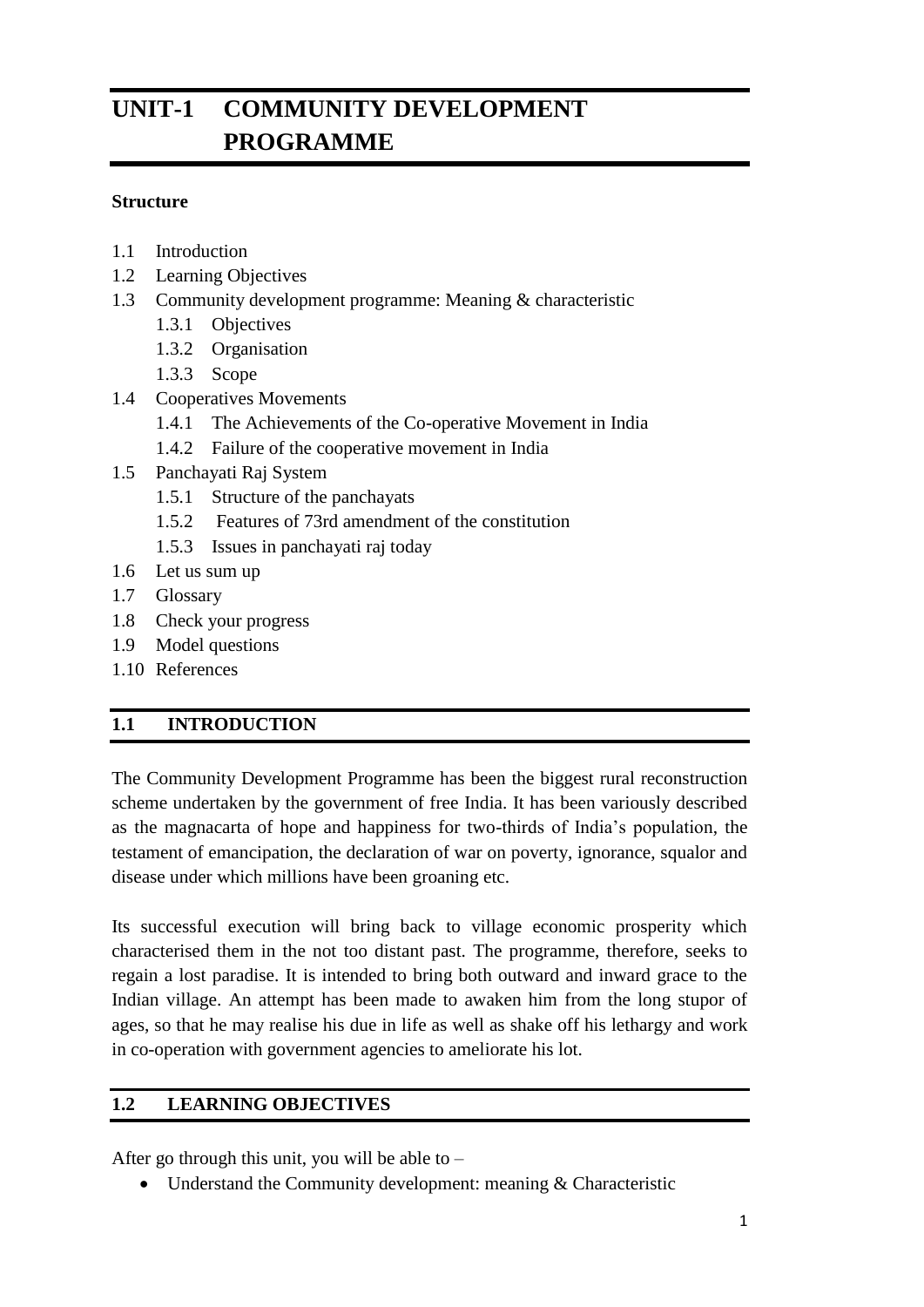In the first phase, the areas selected are subjected to the method of providing services on the ordinary rural development pattern with a lesser governmental expenditure. In the intensive phase, the blocks selected are subjected to more composite and more intensive development schemes with larger governmental expenditure.

In the post-intensive phase, it is presumed that the basis for self-perpetuation of the process initiated during the earlier phases has been created and the need for special government expenses reduced. Slowly the areas are left in the charge of the departments for the development.

An elaborate organization has been created to implement Community Development Projects; it is known as the Community Project Administration. Originally functioning under the Planning Commission, it is now under the charge of the newly created Ministry of Community Development.

The entire administration is composed of four major types- the central administration, the state administration, the district organization and the project administration. The power and the control flow from top to bottom making it a hierarchic bureaucratic organization.

#### **1.3.3 Scope:**

Needless to say that the Community Development Programme is a universal phenomenon practised both in developed and developing countries. But, the programme assumes vital significance in developing countries because of their lowlevel of development in various segments of social life.

Owing to its wider applicability in multifaceted fields of operation, it is not practically feasible to evolve a theoretical framework of the scope of Community Development Programme. However, for the sake of convenience, the field of Community Development Programme can broadly be divided into the following items.

#### **1. Agricultural and allied fields:**

Under this category activities regarding following items are included, (a) reutilisation of virgin and waste lands, (b) repairing of old wells, digging new wells and provision of major/minor irrigation facilities, (c) adoption of qualitative highyielding seeds, manures, fertilizers, use of tractors etc., (d) provision of credit facilities for the development of animal husbandry, poultry farming, fishery, soil conservation etc. and (e) growth of vegetables and plants etc.

# **2. Organisation:**

Organisation of 'co-operative service societies', multi-purpose cooperative societies, 'marketing co-operatives' and other types of people's institutions.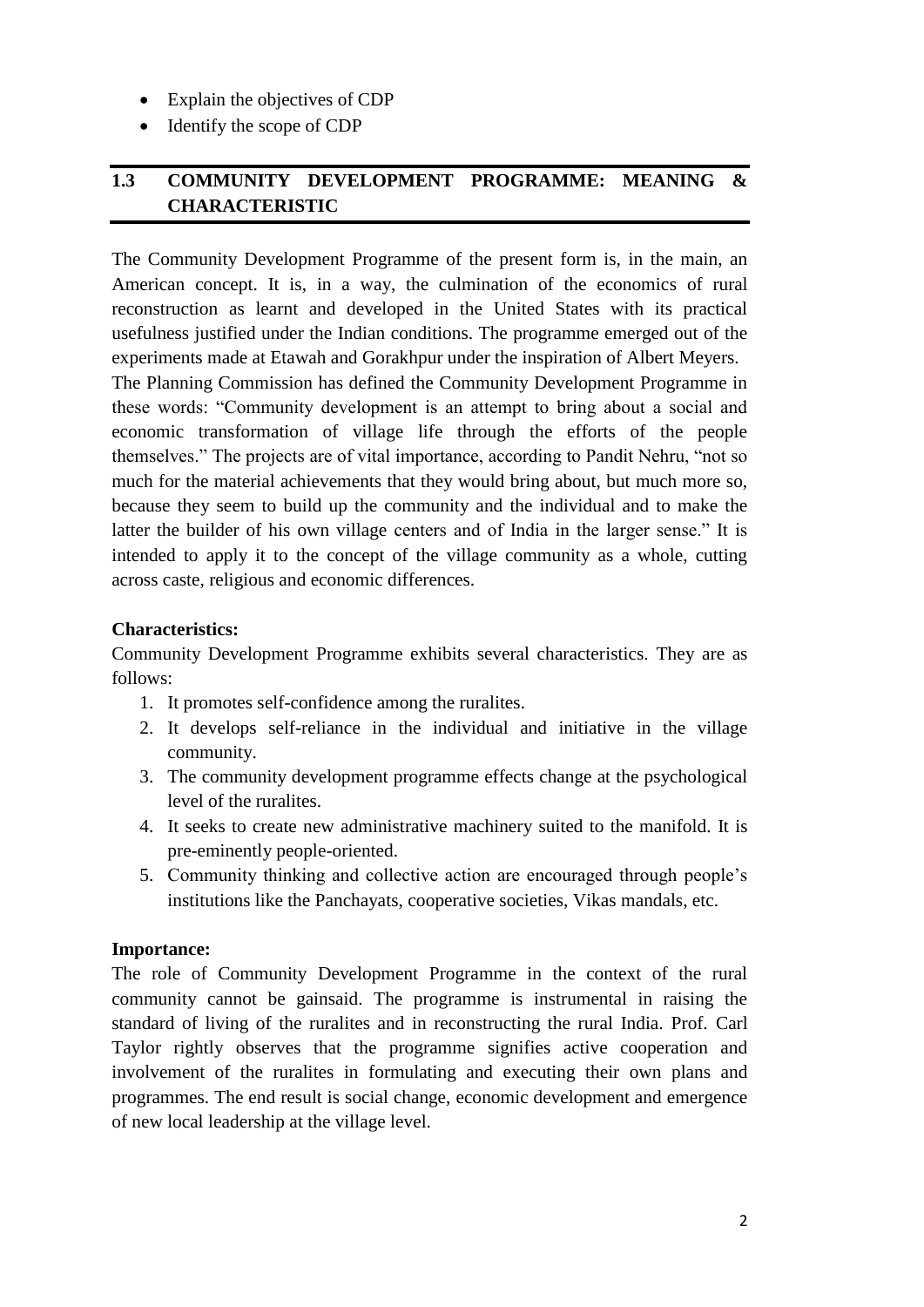# **3. Education:**

Attaching importance to primary education, adult education and social education with the aim of expanding the mental horizon of the ruralites.

# **4. Employment:**

For solving the problem of rural unemployment, attempts have been made for the setting up of small scale and cottage industries.

# **5. Health Services:**

Provision for mobile, permanent dispensaries, arrangements for maternal care, medical aid during pregnancy, midwife service, child care etc.

# **6. Communication:**

Repair of old roads, construction of new roads and arrangement for transportation and communication facilities.

# **7. Vocational training:**

Imparting vocational training in the field of tailoring, embroidery, carpentry etc.

# **8. Supply of drinking water:**

Attempting to provide safe drinking water by repairing old wells or constructing new ones.

# **9. Social welfare:**

Social welfare activities include rehabilitation of old, disabled and destitute, provision for better housing, organisation of sports, promotion of cultural activities etc.

# **1.3.5 Criticisms:**

Critics point out that the Community Development Programme has not yielded desirable results. It is worth mentioning in this connection that for a vast country like India with as many as 5,50,000 villages, a hoary history and diversities pertaining to races, languages, religions and cultures, a period of little more than five decades is insufficient to bring about any substantial changes. Ensminger, a noted sociologist, has rightly cautioned critics to exercise patience before pronouncing any judgement regarding the success of the community development programme

# **Check Your Progress – 1.1**

**Note:** a) Use the space provided for your answers.

b) Check your answers with the possible answers provided at the end of this unit.

Q1. Mention the Long term objectives of community development programme. Ans-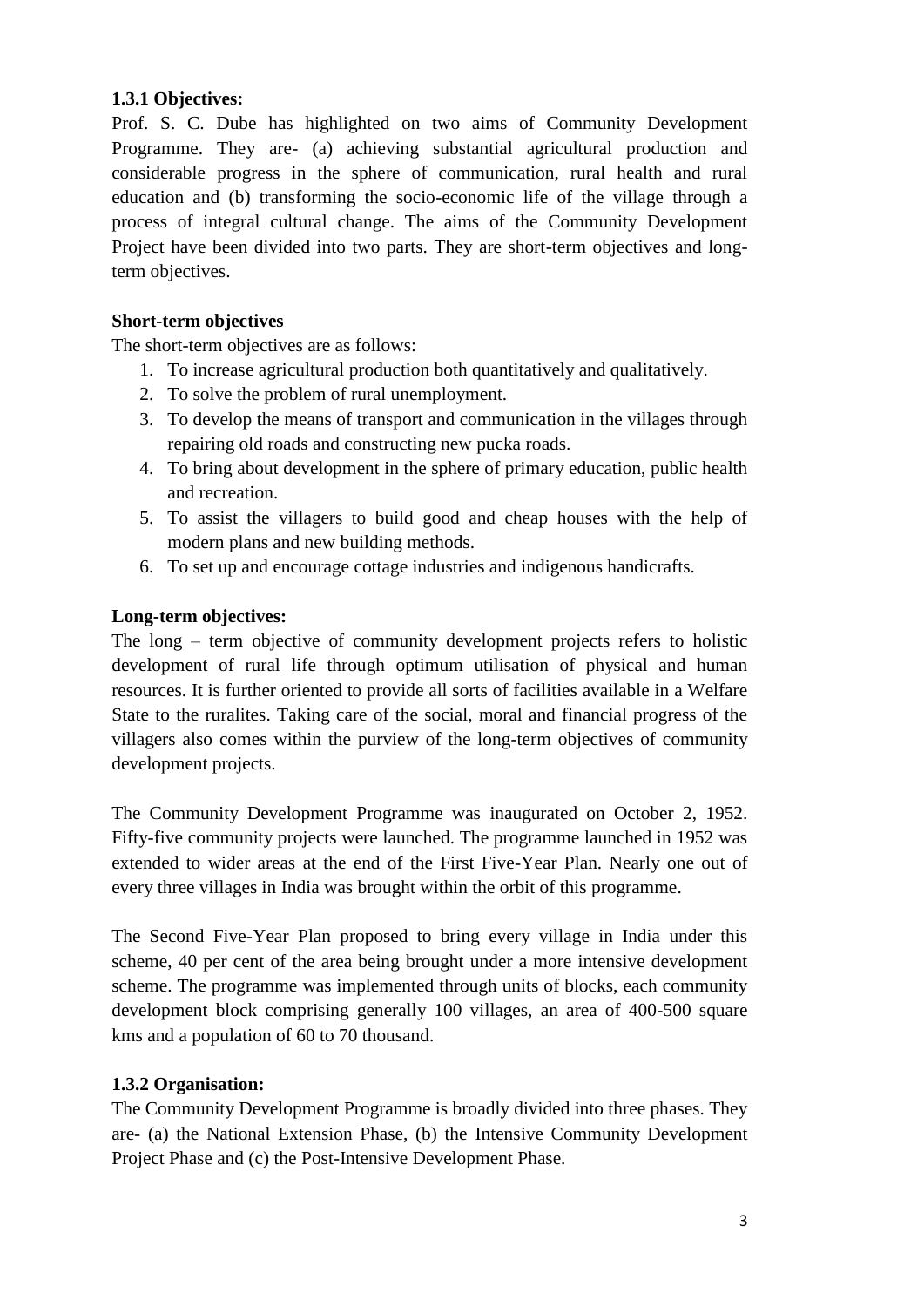# **1.4 COOPERATIVE MOVEMENT**

The experience of British government with India's peasant society on occasions of famine, scarcity gives the idea of providing some financial assistance to the village people. It. was also found that Indian peasantry always suffered from lack of funds required for the development of farm produce.

The striking factor is that the jagirdars and jamindars always exploited the peasants when the latter failed to deposit the land tax in time. Even they required money for their subsistence if there was a famine. Realisation of land tax was the first objective of the colonial rule.

This prompted the British government to establish credit cooperative societies in the villages. The first Cooperative Credit Societies Act was passed in 1904. To remove the weaknesses of this Act, the new Cooperative Societies Act was passed in 1912. The movement has now made rapid strides.

The government before fostering and supporting it wanted to be sure if it was developing on right lines. Therefore, it appointed Maclagan Committee in 1914 which suggested certain improvements in its functioning, such as better procedure of audit, emphasis on teachings to members and to have steady progress of the movement. However, in spite of warning given by the committee, the number of societies continued to increase rapidly.

The cooperative movement got a boost during the war period. Various post-war plans were drawn up in the country and they all emphasised the increasing role of cooperative movement. The second report on recommendation and planning issued by the Government of India gave an important place to cooperative movement. As a result, a Cooperative Planning Committee was appointed by the Government of India in 1945.

It was in 1951 that the RBI appointed a committee with the terms of guidance to survey All India Rural Credit Societies. The report of this committee was submitted in 1954.

# **The important suggestions and recommendations given by the committee include the following:**

(1) There should be a partnership of the state government in all kinds of societies (such as credit societies) and banks like Central Bank, State Banks, cooperative marketing, storage, warehousing and all other important societies such as dairying, milk supply, transport and industrial societies.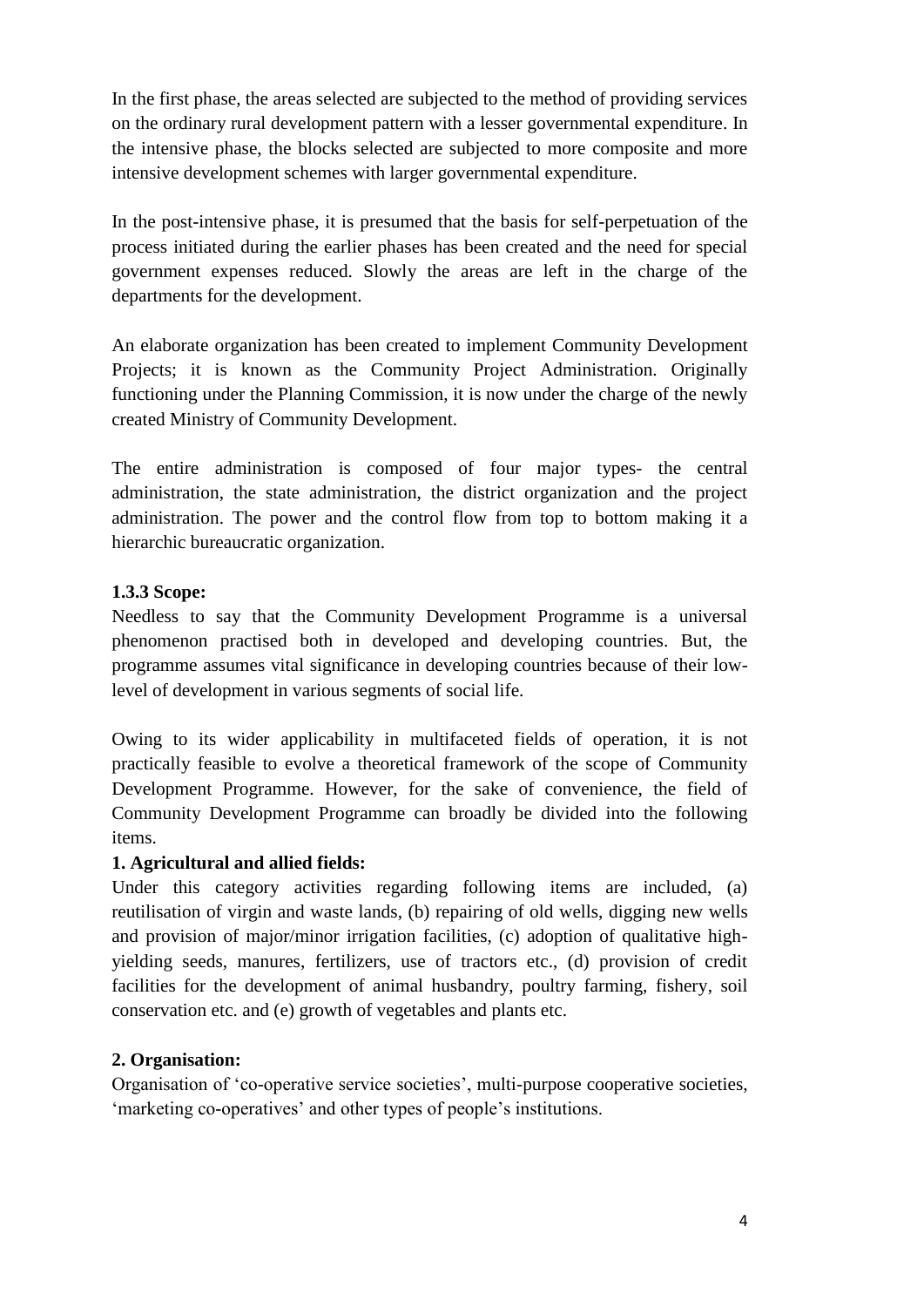- (2) A central committee for cooperative training should be set up.
- (3) It would the responsibility of the state government to implement these programmes. Besides, the other two main agencies will be the Ministry of Food and Agriculture of Government of India and the Reserve Bank of India.
- (4) The funding for the cooperative societies of all kinds including the cooperative training centre will be from the following sources:
	- (i) Reserve Bank of India;
	- (ii) National Agricultural Credit (Long Term Operation) Fund;
	- (iii) National Agricultural Credit Stabilisation Fund;
	- (iv) State Agricultural Credit (Relief and Guarantee) Fund;
	- (v) State Cooperative Development Fund;
	- (vi) State Cooperative Bank and Central Cooperative Bank.
- (5) The credit institutions at the primary, secondary and apex levels need to be reorganised and at least 51 per cent of the shares in apex organisations should be held by state government. These apex organisations will purchase 51 per cent of the shares in central organisations and the central institutions in their turn of primary organisations.
- (6) There shall be a Central Land Mortgage Bank in each state and, Primary Land Mortgage Banks at the lower level.
- (7) Primary Village Credit Societies should be reorganised as to have a membership of about 500 persons. And, these should be linked up with marketing societies in the marketing centres. Processing function is to be developed substantially and specially for the producing sugar, ginning cotton, crushing oil and baling jute.

Most of the above mentioned recommendations were accepted by the Government of India and put into effect under the Second Five Year Plan.

# **1.4.1 The Achievements of the Co-operative Movement in India**

According to some critics, the cooperative movement has been beset with several shortcomings. But the truth is that despite weaknesses, it has outstanding achievements to its credit. Some of the important benefits of the co-operative movement are as follows:

# **1. Economic benefits:**

The cooperative movement has provided a number of benefits to the ruralites in several ways.

- (a) Co-operative societies have provided a large amount of credit to the farmers at a cheap rate. Dependence on the money-lenders, landlords, traders and commission agents has been reduced to a considerable extent. Again, effective competition from the co-operatives has forced the moneylenders to offer loans to the farmers at lower rates of interest.
- (b) Co-operatives have promoted the habit of thrift and self- help among the ruralites. They have come forward to acquaint the villagers with banking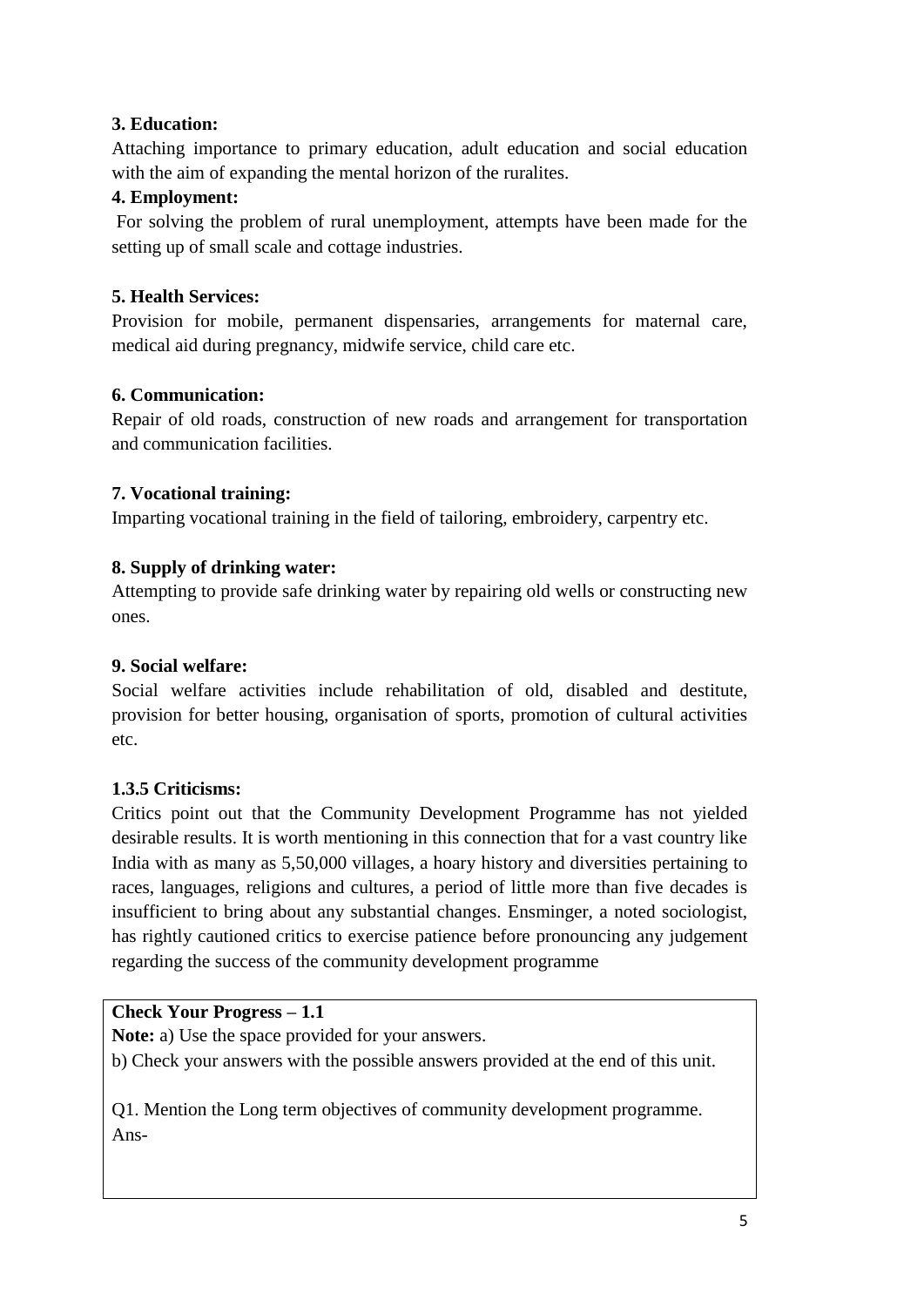practices. At present they are well aware of the advantages of keeping money in a bank instead of hoarding it inside the house. Further, a part of the hoarded wealth has also begun to be used for productive purposes through banks.

- (c) The role of the consumer co-operatives in the distribution of essential commodities at a reasonable, fair price especially at the time of scarcity cannot be gainsaid. The controlled commodities are also supplied to people through consumer stores.
- (d) The cooperative movement is instrumental in solving the problem of rural unemployment. At present the unemployed educated youth are availing help and assistance from the government. They are forming consumer cooperative societies, marketing societies, processing societies, weaving societies etc. Through them they are improving their economic condition.

#### **2. Social benefits:**

The social benefits of the co-operative movement are as follows:

- (a) The cooperative societies have succeeded, to a remarkable extent, in making the farmers conscious about the evil effects of bad habits like gambling, drinking etc. They have also made the ruralites conscious in curbing wasteful expenses on festive occasions like marriage, religious ceremonies etc. They have attempted to solve disputes occurring among the ruralites at the village level itself instead of approaching the courts as it involves colossal waste of time and money.
- (b) The co-operative societies have also undertaken certain welfare activities. These include drinking water, drainage, hospitals, entertainment etc. They also provide scholarships and others aids for carrying on higher studies and research activities:
- (c) Through cooperative movement growth of spirit of community living is possible. The movement by teaching the principle "all for each and each for all" promotes a sense of we feeling among the people.
- (d) Co-operative societies have injected the spirit of self- reliance among the rural poor. They believe that improvement of their lot is possible only when they combine their efforts with others. This is possible only through the cooperative societies.
- (e) Cooperatives, by bringing together people of small means, enable them to reap benefits for themselves and at the same time harmonise their aims with those of the society. This organisation thus does away with the exploitation of the imperfect market.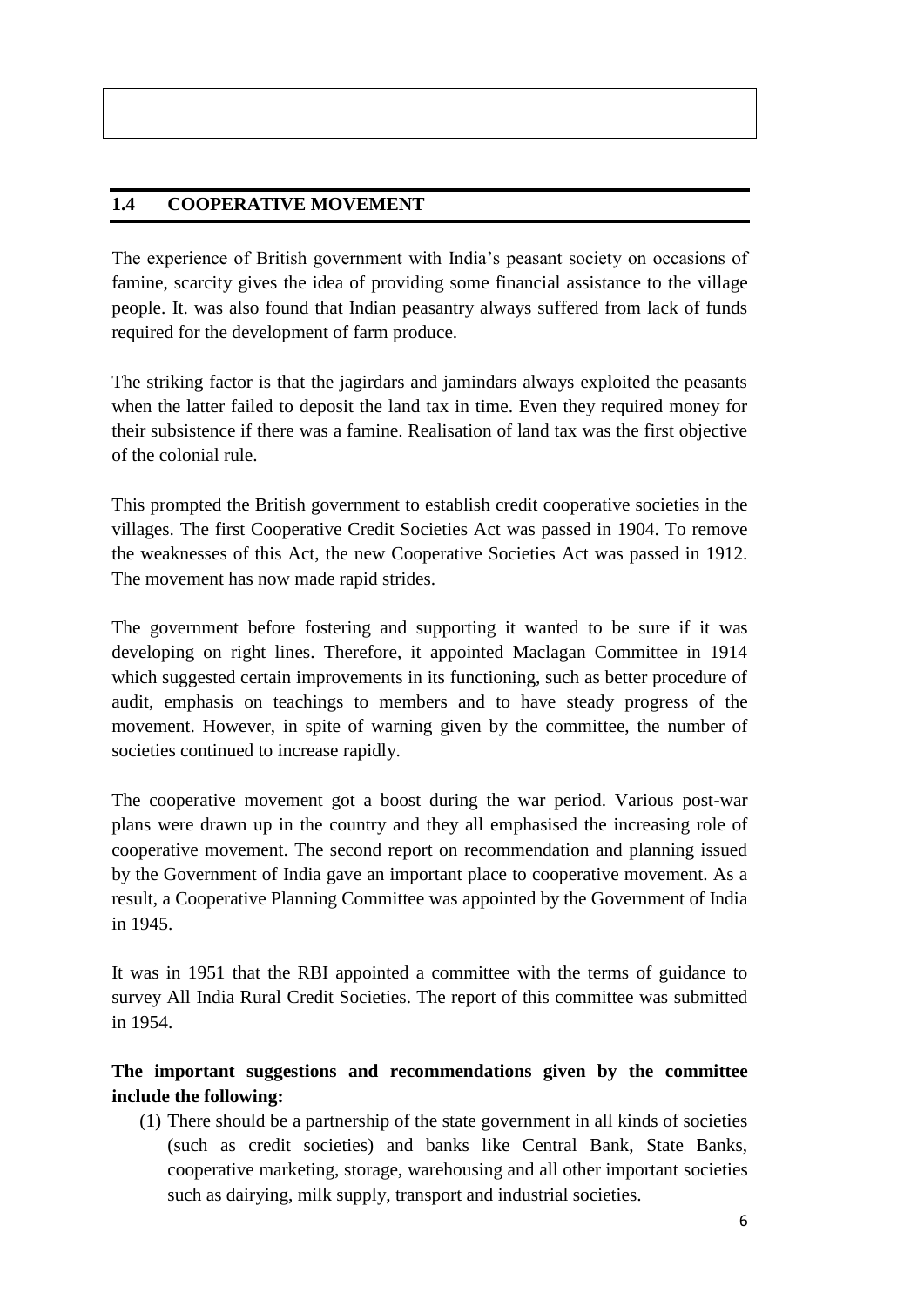(f) So far as cooperative institution is concerned, workers, investors and savers get together, decide matters and work according to decisions taken jointly. In this way cooperatives go a long way in curbing the evils of bureaucracy.

#### **3. Educative benefits:**

Members of the cooperative societies feel the necessity of receiving education. Education will enable them to understand the functioning of the societies. Further, it will enable them to develop a co-operative social outlook. As a result, disputes can be settled through mutual discussions.

#### **4. Political benefits:**

Cooperative societies through their method of election and choosing of representatives acquaint the people in the democratic practices. They make them politically conscious.

# **1.4.2 Failure of the cooperative movement in India**

# **Several reasons are adduced to the painfully failure of the cooperative movement in the Indian context. They are as follows:**

#### **1. Lack of spontaneity:**

Co-operative movement in India lacks spontaneity in the sense that it has not been emanated from the people themselves. They usually do not come forward to organise co-operatives on their own accord.

On the other hand, the ruralites perceive the cooperative societies and banks as government lending agencies. They are interested only in deriving benefits from them instead of contributing anything in return.

# **2. Lack of funds:**

The cooperatives have resource constraints as their owned funds hardly make a sizeable portfolio of the working capital. With weak owned fund base, the borrowings of the cooperatives from the central financing agency are considerably conditioned. This has stood in the way of adequately meeting the credit requirements of the existing as well as new members.

# **3. Neglecting the demand aspect:**

Historically, the cooperatives have been viewing the problem of agricultural credit from the view point of "supply". The "demand" aspect is neglected.

# **4. Loans for productive purposes only:**

The Cooperative Credit Societies do not cater to all the credit requirements of the farmers. They grant loans only for agricultural operations. Farmers approach the money-lenders to meet their other requirements. This divided allegiance to the co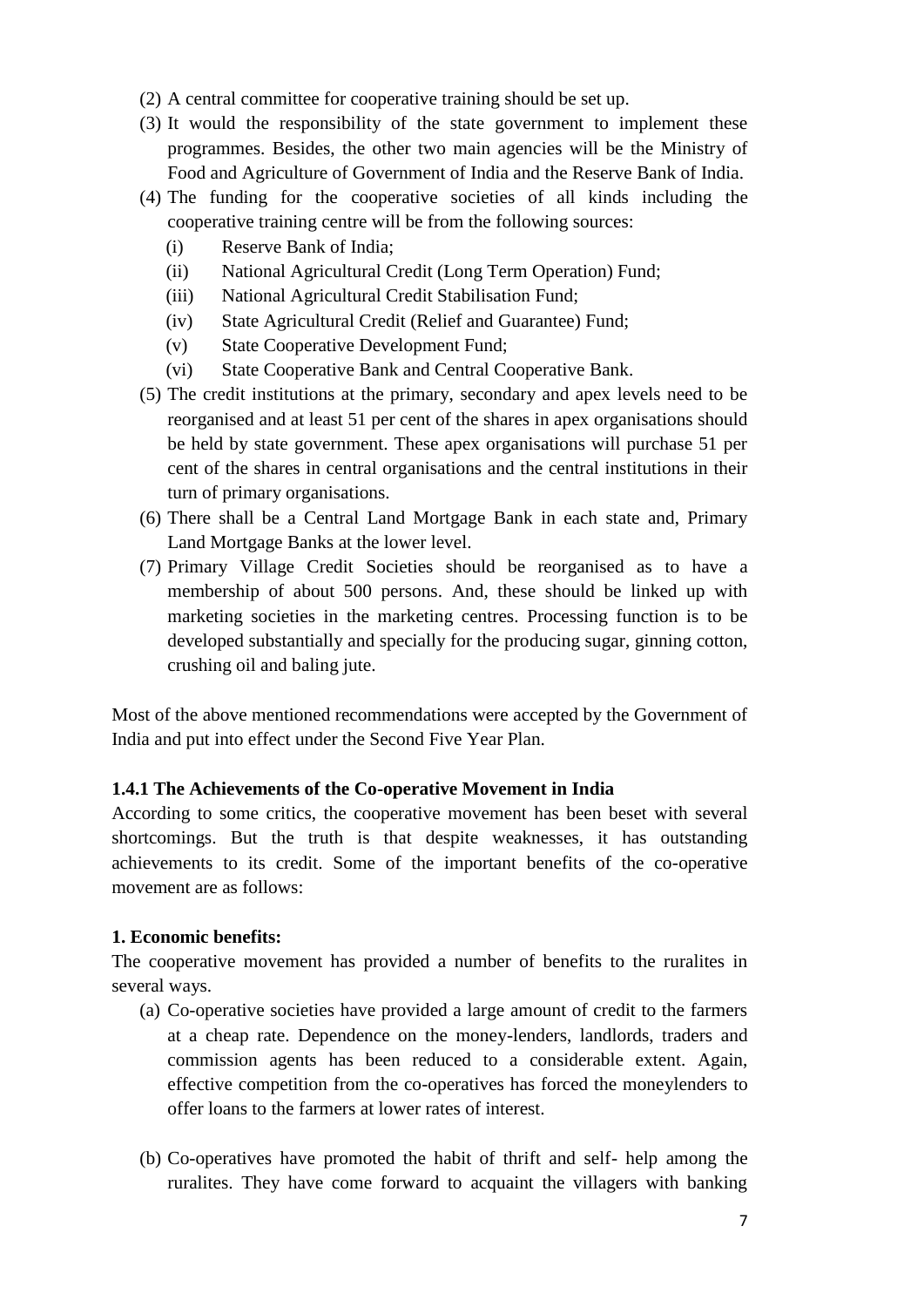operative society and the money-lender stands in the way of the growth of the cooperative movement.

#### **5. Negligence of non-credit aspects:**

By and large the Primary Agricultural Cooperative Societies are disbursing credit only and have not yet emerged as true multipurpose institutions, undertaking diversified functions besides credit.

#### **6. Regional disparities:**

There have been good deals of regional disparities pertaining to credit availability. The picture of credit availability in the Eastern states, tribal and hilly regions is simply dismal. Consequently, the farmers in these regions farm technology.

# **7. Lack of co-operation on the part of the people:**

In the Indian context, most of the people are in the grip of illiteracy, ignorance and conservatism. They do not understand the significance of cooperation in their lives. Absence of willing cooperation on their part hinders the growth of cooperative movement.

**8.** Horizontal and vertical linkages, though, structurally established, have not yet operationally become effective.

#### **9. Exploitation:**

In the absence of proper marketing arrangements and functions at the level of Primary Agricultural Cooperative Societies, the rural poor falls prey to the mercy of middlemen who exploit the situation.

# **10. Defective management:**

The cooperative credit structure is criticised on the ground that it is mostly managed by landlords and large farmers. Hence small and medium farmers do not get their fair share. They are often deprived of the assistance from the co-operative society.

Large farmers and landlords, with their superior economic and social power, manage to have a greater hold on these societies. A lion's share of benefits goes to them. In this way, the cooperatives suffer from nepotism, favouritism and partiality. The growth of the cooperative movement, thus, is severely affected.

# **11. Political interference:**

Sociologists like Sujata Patel and Daniel Thorner hold the view that political interference acts as a formidable obstacle for the growth of cooperative movement. The co-operative societies have become the hot bed of politics in rural India. The selection of beneficiaries is mostly done on political considerations.

# **12. Non-viable character:**

It is observed that many agricultural credit societies in India are of non-viable character. It is because dedicated, honest and efficient people do not come forward to join such societies. Factors like red-tapism; undue political interference and the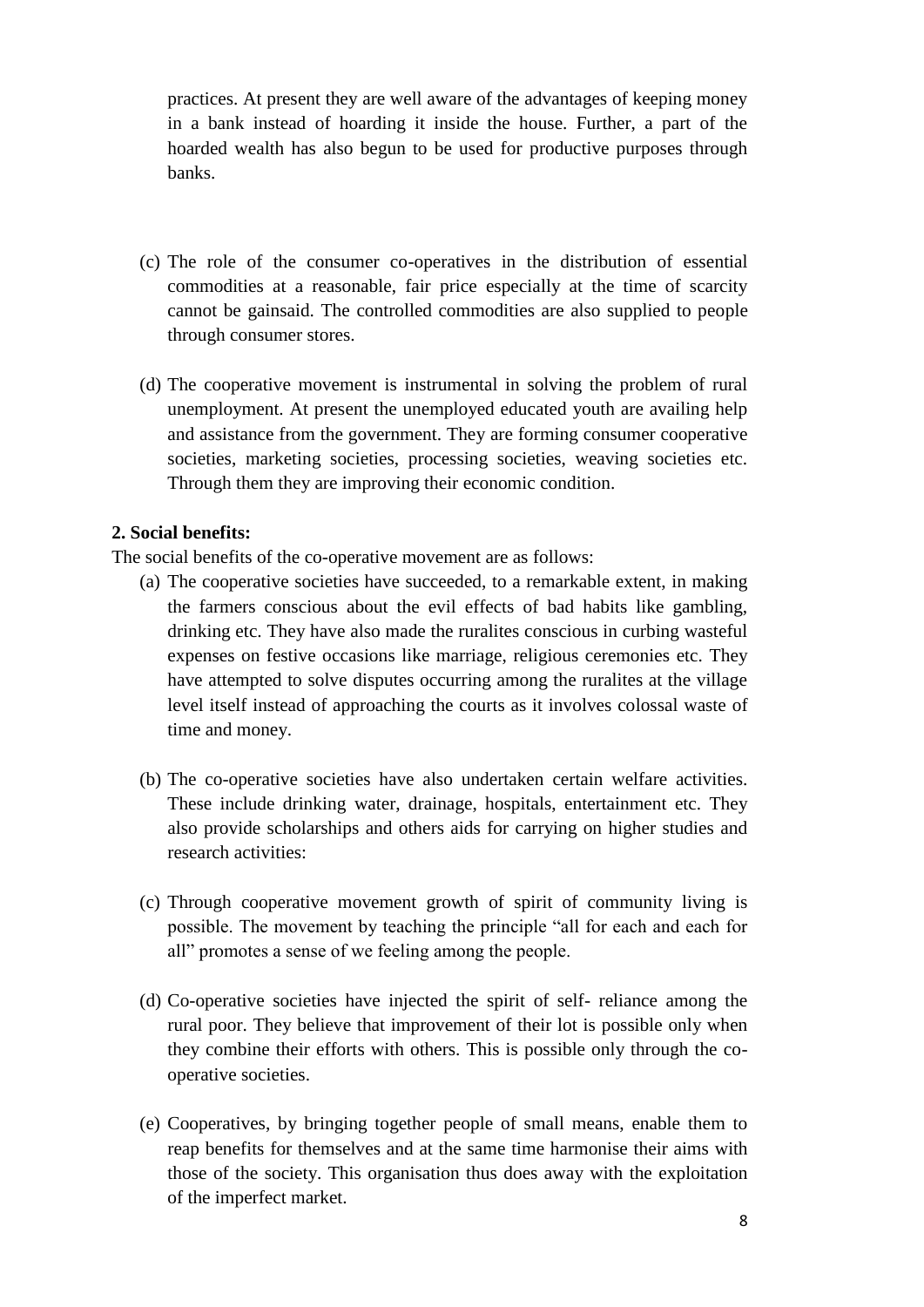strong hold of large farmers have arrested the growth of co-operative movement. Hence the cooperative movement has not come up to the level of expectation.

**13.** In the absence of high standards of performance, cost of credit and other operations of the institutional cooperative system do not remain at a low level. Further, inadequate interest acts as a setback to finance the weaker sections.

#### **14. Lack of co-ordination:**

There has been a lack of co-ordination among the institutional agencies at the grassroot level. Defaulters of co-operatives can become borrowers of other agencies. Such double financing and over-lapping are found simply because of lack of coordination.

# **15. Problem of overdues:**

Last but not least, the major problem of co-operative credit is ever-rising overdues. The performance on the recovery side has been dismal. 27 to 50 per cent of the overdues have been reported in respect of the Cooperative Credit Societies. Overdues also exist with respect to Central Co-operative Banks and Land Development Banks. Obviously, the high level of overdues hinders the process of recycling of credit.

#### **Check Your Progress – 1.2**

**Note:** a) Use the space provided for your answers. b) Check your answers with the possible answers provided at the end of this unit. Q2- When the new Cooperative Societies Act was passed in 1912 Ans-

# **1.5 PANCHAYTI RAJ SYSTEM IN INDIA**

In India, most of its population resides in rural areas and therefore the democracy should begin thereon in order to ensure good governance and a better functioning of democracy that we desire. To extend democracy to the rural India, the system of Panchayati Raj was established in India. The Panchayati Raj system is not a new concept and therefore is considered as one of the best ways of governance of the rural India. However, the system of Panchayati Raj, despite having derived their powers and existence from the Constitution of India, faces a lot of challenges in their day to day working because of various reasons and therefore this third tier of government has not been able to serve the purpose with which it was introduced in India.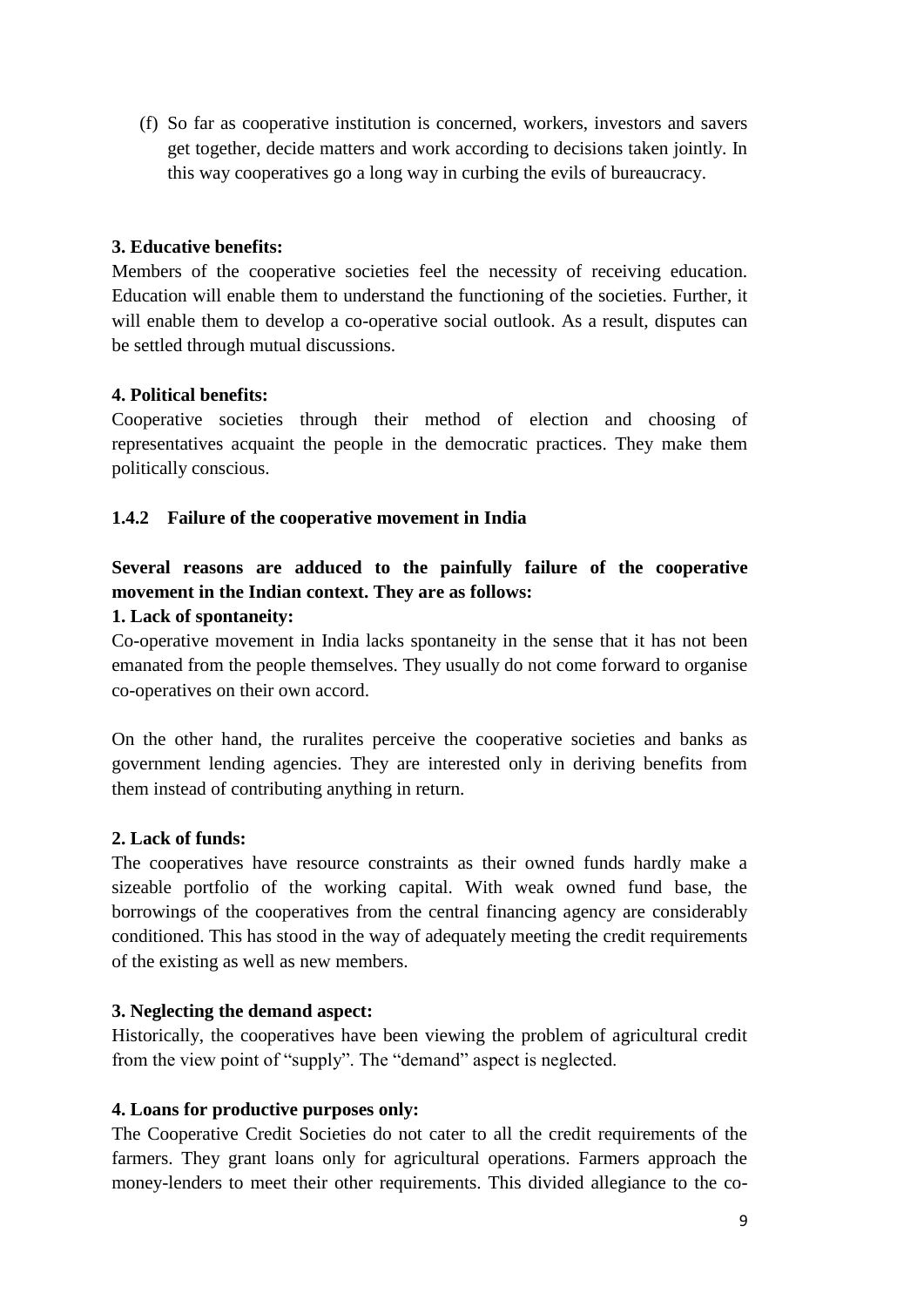India, primarily, is a land of villages and around 72% of the total population of India resides in the rural areas. The rural areas thus forms the roots for the governance in India and the democracy should start thereon. Mahatma Gandhi also said that the main element for the development and for the governance should not be the big cities rather the village because it is where India resides. In India, we have a unique system for governance at the village level. The governance of such small unit of India is by the Institutes, called the Panchayati Raj Institutions. The Panchayati Raj Institute derives their existence from the Constitution under Part IX under the head The Panchayats. The story of Panchayat is not just a few decades old; rather it has been prevalent in India from ages.

In the Rigvedic period, i.e. around 1200 B.C. there were Sabha that has the primary function of the administration of the area. This concept of Sabha gradually converted to the panchayat and it was so called because it was headed by 5 people.

In the Medieval period, the panchayati system deteriorated because of the increase in the Zamindari system in the rural areas. The task of administration slowly got converted to tax collection as a result thereof. At this time also the village had a separate mechanism for its administration though the concept of panchayati raj got deteriorated. With the change in the dynasties ruling India, the concept of Kotwal came with the Mughal era whose task was to undertake the administration of the area assigned, to collect tax and other incidental functions. But the concept of Kotwal also got deteriorated with the inducement of cast system and feudalism in India especially after the British invention.

In the British era, the Government was not in favour of any decentralization, therefore after the mutiny of 1857, they came with the Government of India Act, 1858 and removing the decentralization. Lord Mayo in 1870 advocated for decentralization, but it was unapproved. Subsequently, Lord Rippon advocated for decentralization but the same was approved till the extent of urban areas. Then came the Royal Commission in 1907 which advocated for village panchayat but it was not accepted due to various reasons.

Further in the Montego Chemsford Reforms that were carried out in 1919, right after the World War I wherein England was not in a strong position, some autonomy to the provincial government was given to the provincial government and some powers were given to the elected representatives. There were two separate Lists under the laws, one for the Governor and second for the elected local representatives. Further, under the Government of India Act, 1935 all the powers were taken back because both the lists that were legislated were repealed and therefore the decentralization was again withdrawn.

Meanwhile, during the formation of the Constitution of India, in the Constituent Assembly, Panchayati Raj was kept under the heads of Directive Principles of State Policy under Part IV of the Constitution mainly because of the political instability of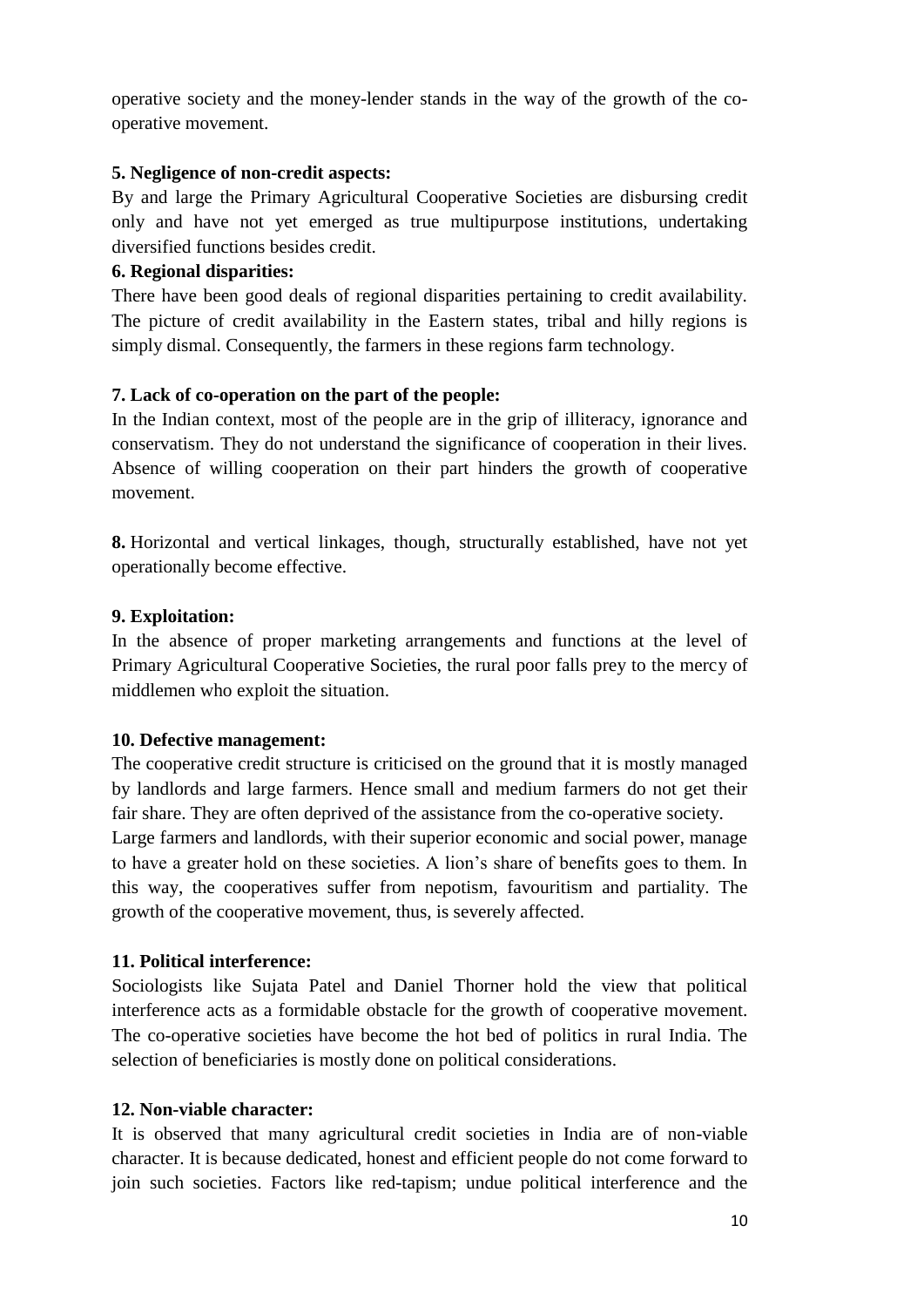the new government and the paucity of funds and therefore it was not practically possible for the newly formed India to have a third tier of the Governance which was right at the lowest tier in the country. 5 After the Indian independence, there were various committees that tried to give a proper structure to the Panchayati Raj in India. These are:

- Balwant Rai Mehta Committee, 1957: this committee mainly it advocated for the basic level of administration be at the Block level.
- K. Santhanam Committee, 1963: advocated that the Panchayati Raj Institution (PRI) be given the powers to levy tax and it should become as the main source for the funding of the institution.
- Ashok Mehta Committee, 1978: This committee suggested that the Panchayai Raj Institute shall be a two tier body which should operate at the Zilla level and the Mandal level. The nodal area would be at the Block Level (taken care of by the Block Development Officer) and Zilla Parishad shall have an advisory role to both, the State Government and to the Block level institution.
- G.V.K. Rao Committee, 1985: this committee again advocated for a three tier system.It said that the PRIs should be at district and local level. The District Development Officer (DDO) shall be appointed for the main administration of the village units.
- L.M. Singhvi Committee, 1986: this committee advocated that in order to establish a governing body for any part of India, it must be given a Constitutional structure. As a result, 73rd Amendment was made to the Constitution and Part IX A was inserted as The Panchayats.

# **1.5.1 Structure of the Panchayats**

In spite of the fact that the essential structure of the PRIs is indistinguishable over the conditions of India, it is portrayed by means of various classifications in various states. Panchayats in each state has its own attributes and even race strategies to these establishments are at fluctuation from area to area.

A District Panchayat or Zilla Parishad is established for every region. Every district has one Zilla Parishad. Likewise Block Panchayats or Panchayat Samitis are established for the said area.

A Block might have a few towns under its jurisdiction; on the other hand Gram Panchayats are not inexorably co end with every town. Contingent upon the measure of populace (in actuality, number of voters) a Gram is characterized under the law with a particular geological zone, which might comprise of a solitary town or a group of connecting towns.

Panchayati Raj Institute has the following bodies under it: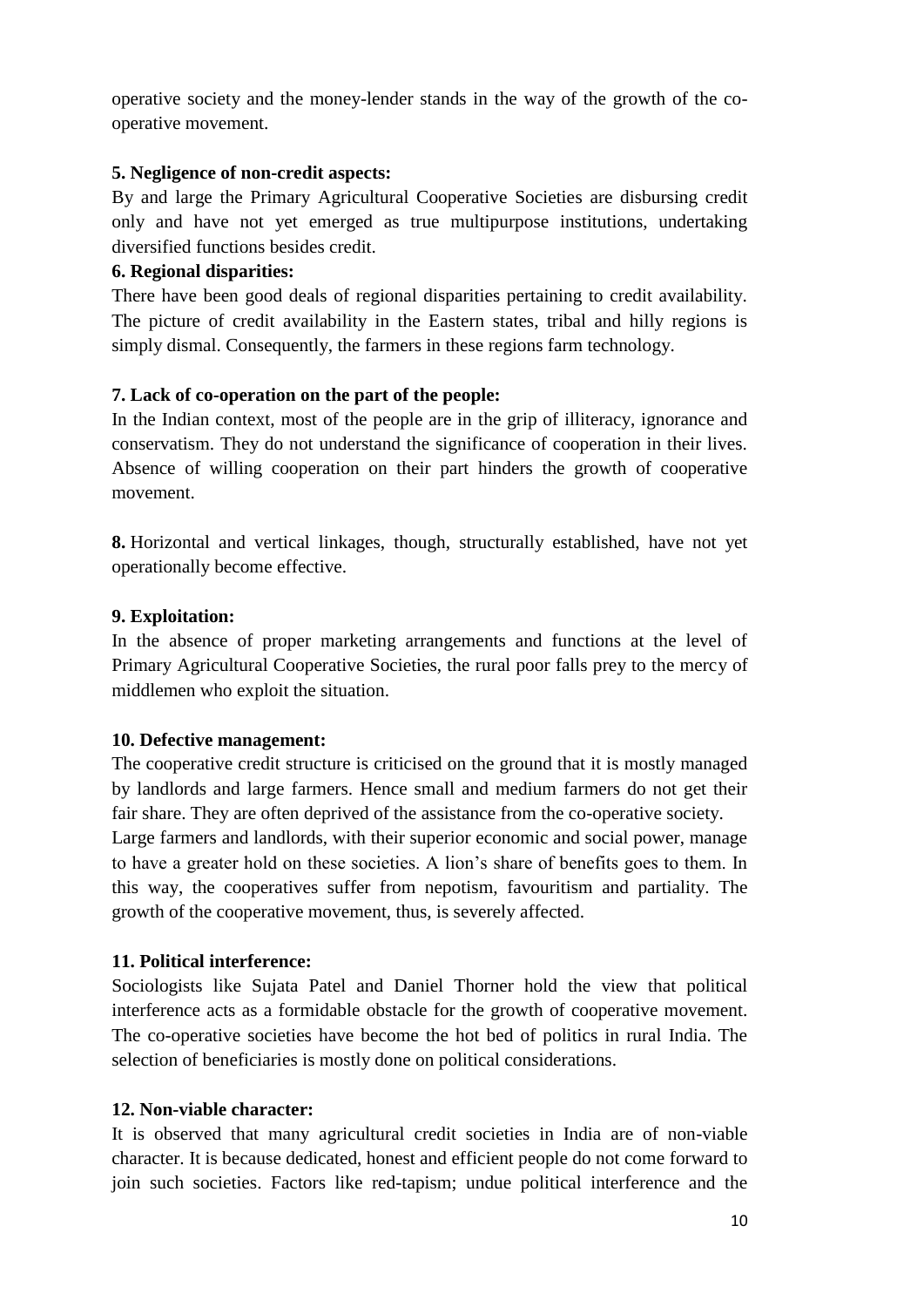#### **Zilla Panchayat:**

Every Panchayat under a Zilla Parishad chooses one/two/three individuals directly (contingent upon number of voters inside of it). Presidents of all the Block Panchayats are likewise ex-officio individuals from the Zilla Parishad. In a few expresses the Member of Legislative Assembly (MLA) and Member of Parliament (MP) of the locale/body electorate are additionally ex-officio individuals.

#### **Block Panchayat or Panchayat Samiti:**

Every Gram Panchayat under a Block Panchayat chooses one/two/three individuals specifically to the Block Panchayat. Gram Pradhans are ex-officio individuals from the Block Panchayats.

#### **Gram Panchayat:**

A Gram as characterized under the Act (which means a town or a bunch of towns) is separated into at least five voting demographics (again relying upon the quantity of voters the Gram is having). From each of these voting demographics one part is chosen. Body of these chose individuals is known as the Gram Panchayat. Size of the Gram Panchayats fluctuates generally from state to state. In states like West Bengal, Kerala and so on a Gram Panchayat **Gram Sabha:**

In a large portion of the states, every voting public of the individuals from the Gram Panchayat is known as the Gram Sabha and every one of the voters of the same body electorate are individuals from this body. In any case, in a few expresses this is called Ward Sabha/Palli Sabha and so on. In West Bengal it is called Gram Sansad (town parliament). Gram Sabha in West Bengal has an alternate importance. Here every one of the voters of the Gram Panchayat overall constitute the Gram Sabha.

Under the Constitution, there can be just three levels of the Panchayat. The Gram Sabha is not a level of the Panchayati Raj framework. It doesn't have any official capacity and works as a suggesting body as it were.

Gram Sabhas hold gatherings ordinarily 2 to 4 times each year, however they can meet as and when important. In a few states dates of these gatherings are altered (Madhya Pradesh, Gujarat and so on) while in others dates are settled by the Gram Panchayats. Issues to be talked about in the gatherings can be far reaching yet the crucial motivation ought to include: Annual Action Plan and Budget, Annual Accounts and Annual report of the GP, choice of recipients for various social administration programs (Pradhan Mantri Awas Yojana , various Pension Schemes to name a few), recognizable proof of plans for planning of Annual Plan for advancement programs (e.g. MGNREGA) of Gram Panchayat, thought of the Audit reports, investigations of Gram Panchayat's execution and so forth.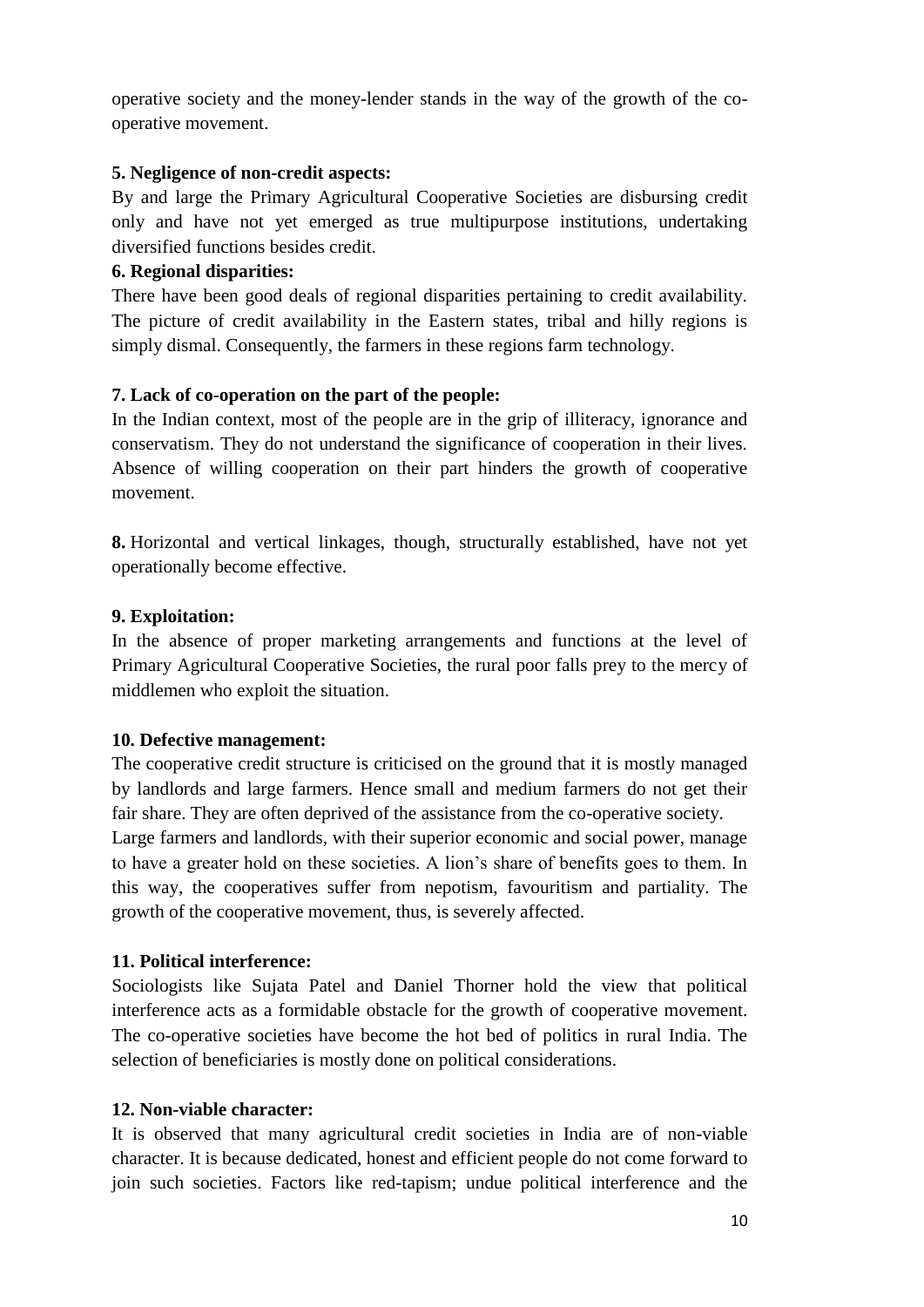# **1.5.2 Features of 73rd Amendment of the Constitution**

After the recommendations of the L. M. Singhvi Committee, the Panchayati Raj Institutions were a given a Constitutional status under Part IX of the Constitution. The Part was added by the virtue of the Seventy Third Amendment Act. 11 Some of the features of the Act are:

- It did not apply to Schedule V areas of 9 states, schedule VI areas of North East, Darjeeling District and Jammu & Kashmir.
- Panchayati (Extension to Scheduled Areas) Act, 1996 was brought to extend the Panchayati Raj Institutions to the Scheduled and Tribal areas under Schedule V areas of 9 states. It also recognises the control of the Panchayati Raj Institutions over the natural resources of the area.
- The Panchayati Raj Institutes should be a 3 tier body for the State having population more than 20 lakhs, making to get some uniformity in the structure in the country.
- The election for the Panchayats takes place every 5 years and the elections are conducted by the State Election Commission, under the supervision of the State Election Commissioner.
- The Amendment provides for the reservation for women and SC/STs for effective participation in the rural areas and to make people reinstate their faith in the governance of the country.
- There is a provision for the constitution of the State Finance Commission to make recommendation to the State Government as far as the fiscal matters and other allied matters relating to the Panchayats are concerned.
- To establish the District Planning Committee.

# **1.5.3 Issues in Panchayati Raj Today**

Even after the implementation of the Panchayati Raj Institutions in India in almost every state, still there seems to be various issues that are yet to be dealt in order to ensure effective participation of these institutions. Some of them are:

- In India, there are around 2,32,278 panchayats at the village level; 6022 at the intermediate level; 535 at the district level still the panchayats has minimal powers to generate revenue. They do not have the powers to levy taxes and therefore they are hugely dependent on the State Government for funding. Therefore it is just a functional autonomy as it seems to be an extended form for the State Government and no other governing body even after having a Constitutional status.
- The recommendations of the State Finance Commission are not accepted. The State Finance Commission is meant to ensure an effective mechanism for the Panchayati institutions but it seems as if these institutions are merely on papers and not otherwise.
- There is no uniform system of election across the country as it is conducted by the State Election Commission. This leads to a functional deformity as the Constitution gives them an equal status and therefore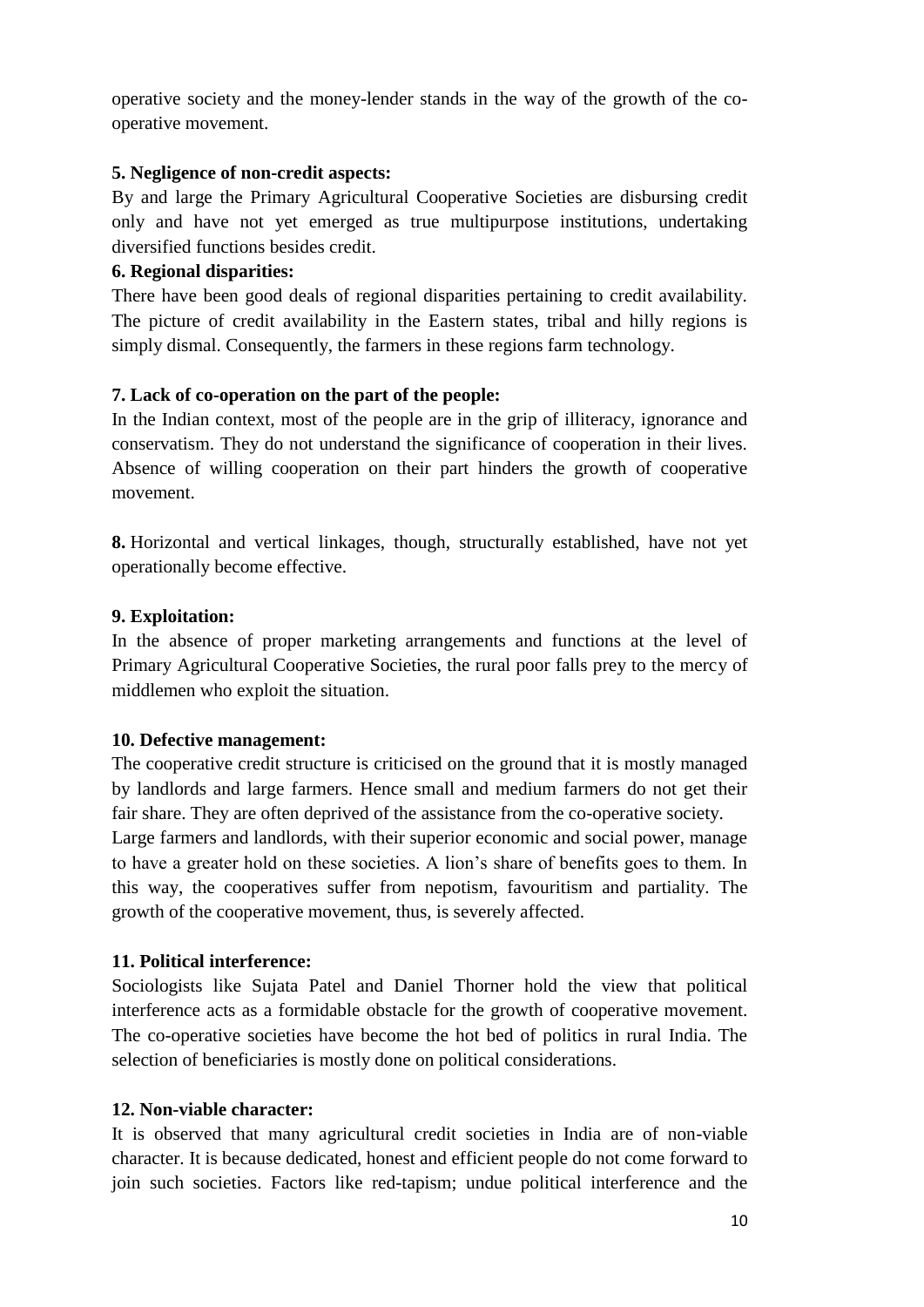there should be uniformity in the procedure followed in the functioning of the panchayati institutes throughout India.

- Out of the total panchayats, 27 lakh people are elected throughout India wherein 37% are women; 19% are SC and 12% are ST.
- Till November 2006, 8 states and 1 U.T. have transferred all 29 functions or subjects to the PRI. This clearly shows that in India the panchayats are merely an extension of the State and are not like a separate administrative unit, having a unique constitutional status. Kerala is the only state which has developed 40% of its plan outlay to the PRIs. It is important to note that only 13 states and 4 U.T. have constituted the District Planning Committee.
- Even in the daily functioning of the panchayati there are various lacunas like the problem of the proxy role exists because there are a few recognized people in the village that only run the system and not the actual elected candidate.
- Even after the legislative of keeping the panchayats clean from politics, there still exists influence of the bureaucracy and the political parties.

The concept of panchayati raj is not a recent one in India. There have been traces wherein the said system has been found working effectively in administration of the small units of the countries, like the villages. This concept has been acknowledged by various Constitutional framers and keeping in mind the Constituent Assembly's intent in mind, this has been given a Constitutional status under Part IX by the virtue of the Seventy Third Amendment. Even after two decades of the working of the panchayati raj in India constitutionally, there have been various issues in its effective functioning.

It would not be wrong to say that the panchayati raj institutions have started playing their administrative role in the manner it was thought to be. But the problem comes at the stage of the input from the major stakeholder, i.e. the public at large. The institution is today induced by various ill practices like the proxy voting or the corruption at large or the influence of the political parties. It is thus important to start the reform initially targeting the people, which include educating the voters as far as making them competent to understand their rights and duties.

Even the functioning of the panchayat in India needs a structural change as it does not have any powers to levy tax, and therefore it is dependent on the State Government for financial assistance and loses its independency. The role of the political parties is also very persistent in the panchayati raj system and thus these issues needs to be addressed at the earliest.

Therefore, it can be seen that the Panchayati Raj Institutions have worked a long way in implementing the objective that they were thought with. Yet there comes various problems today that need to be addressed. In India, the majority of the population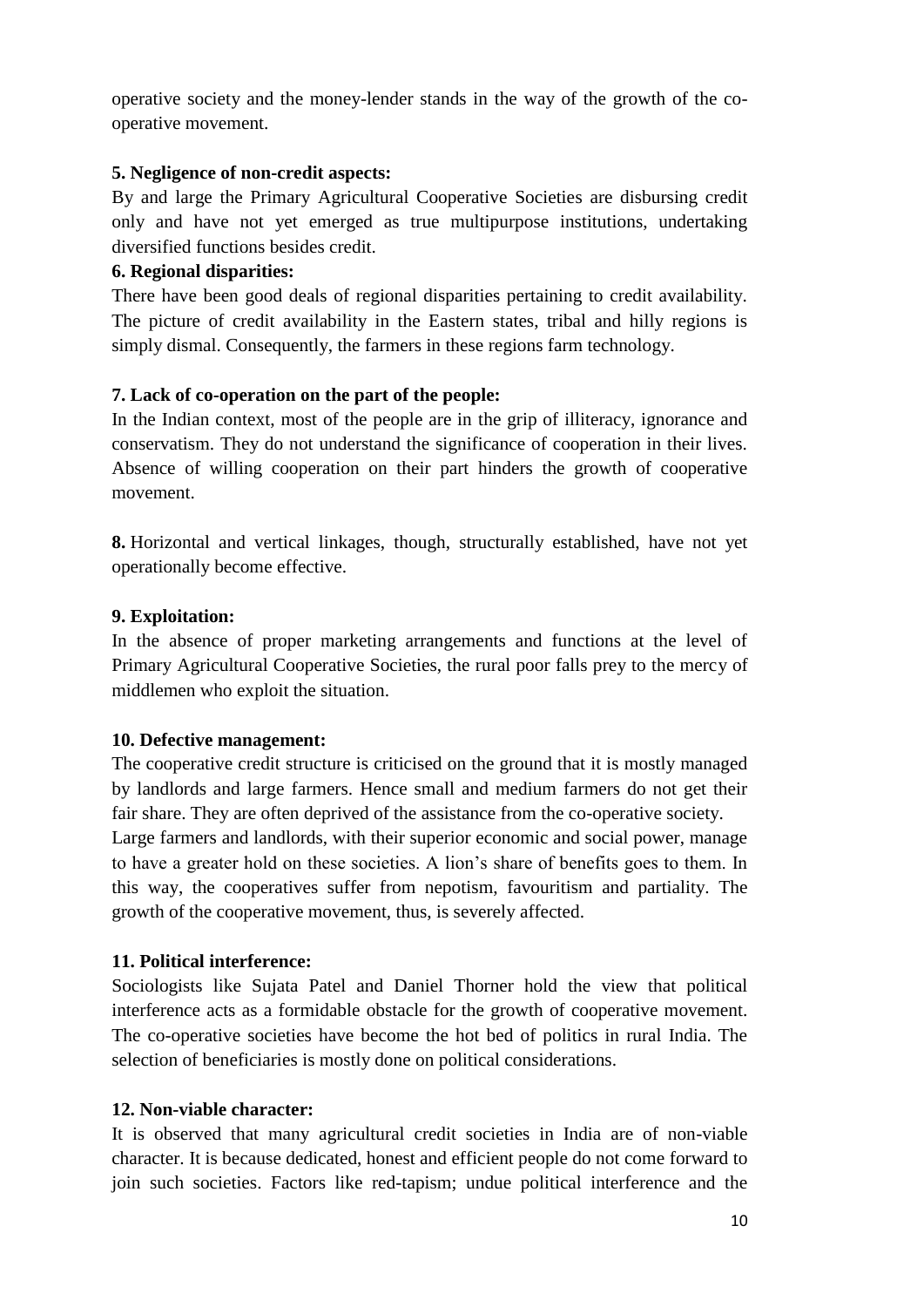belongs to the rural areas and therefore it is needed that the administration of such units is made effective.

# **Check Your Progress – 1.3 Note:** a) Use the space provided for your answers. b) Check your answers with the possible answers provided at the end of this unit. Q3- In which year the Balwant Rai Mehta Committee was setup? Ans-Q4- In which year K. Santhanam Committee was setup? Ans-

# **1.6 LET US SUM UP**

- The Community Development Programme of the present form is, in the main, an American concept. It is, in a way, the culmination of the economics of rural reconstruction as learnt and developed in the United States with its practical usefulness justified under the Indian conditions.
- The Planning Commission has defined the Community Development Programme in these words: "Community development is an attempt to bring about a social and economic transformation of village life through the efforts of the people themselves."
- Prof. Carl Taylor rightly observes that the programme signifies active cooperation and involvement of the ruralites in formulating and executing their own plans and programmes.
- The Community Development Programme was inaugurated on October 2, 1952. Fifty-five community projects were launched. The programme launched in 1952 was extended to wider areas at the end of the First Five-Year Plan.
- The Community Development Programme is broadly divided into three phases. They are- (a) the National Extension Phase, (b) the Intensive Community Development Project Phase and (c) the Post-Intensive Development Phase.
- The first Cooperative Credit Societies Act was passed in 1904. To remove the weaknesses of this Act, the new Cooperative Societies Act was passed in 1912. The movement has now made rapid strides.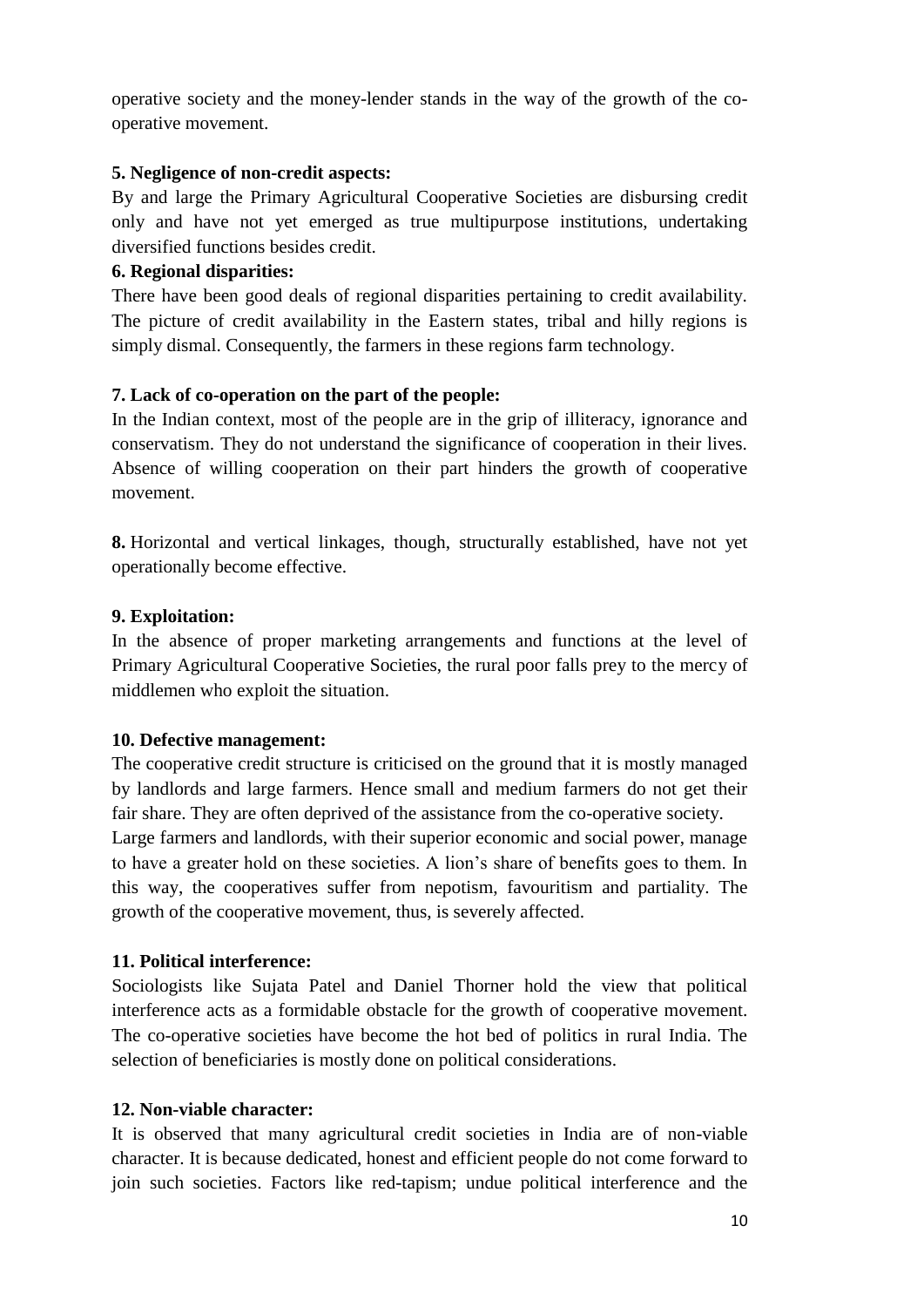- Maclagan Committee in 1914 which suggested certain improvements in its functioning, such as better procedure of audit, emphasis on teachings to members and to have steady progress of the movement.
- the system of Panchayati Raj, despite having derived their powers and existence from the Constitution of India
- In India, we have a unique system for governance at the village level. The governance of such small unit of India is by the Institutes, called the Panchayati Raj Institutions.
- The Panchayati Raj Institute derives their existence from the Constitution under Part IX under the head The Panchayats.
- Under the Constitution, there can be just three levels of the Panchayat.

# **1.7 GLOSSARY**

**Community:** A group of people living in the same place or having a particular characteristic in common.

**Rurality:** A condition of place based homeliness shared by people with common ancestry or heritage and who inhabit traditional, culturally defined areas or places statutorily recognised to be rural.

**Decentralization:** the transfer of control of an activity or organization to several local offices or authorities rather than one single one.

# **1.8 CHECK YOUR PROGRESS: ANSWER KEYS**

Ans to Q1- The long – term objective of community development projects refers to holistic development of rural life through optimum utilisation of physical and human resources. It is further oriented to provide all sorts of facilities available in a Welfare State to the ruralites. Taking care of the social, moral and financial progress of the villagers also comes within the purview of the long-term objectives of community development projects.

Ans to Q2- The new Cooperative Societies Act was passed in 1912 Ans to Q3- Balwant Rai Mehta Committee was setup in 1957 Ans to Q4- K. Santhanam Committee was setup in 1963.

# **1.9 MODEL QUESTIONS**

- What is community development programme, discuss about its characteristics?
- What are the main objectives of community development programme?
- Discuss the major achievements of the Co-operative Movement in India?
- Discuss about the panchayat raj system in India?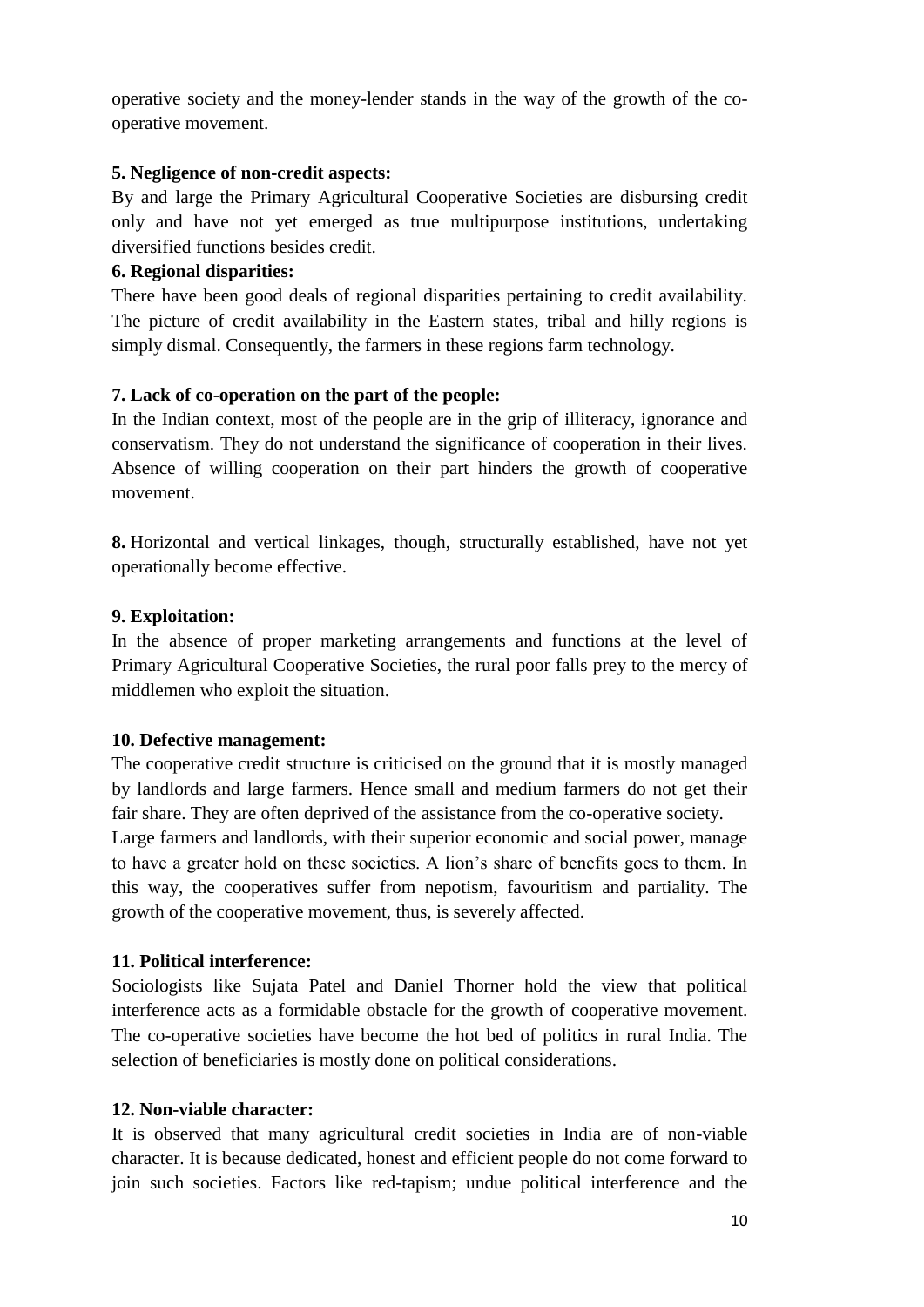# **1.10 REFERENCES**

- 1. Bertrand. A.L., Rural Sociology
- 2. Shah. G., Gandhian Approach to Rural Development
- 3. Dey. S.K., Panchayati Raj
- 4. Puri. K.E., Social System in Rural India
- 5. Gillette. J.M., Rural Sociology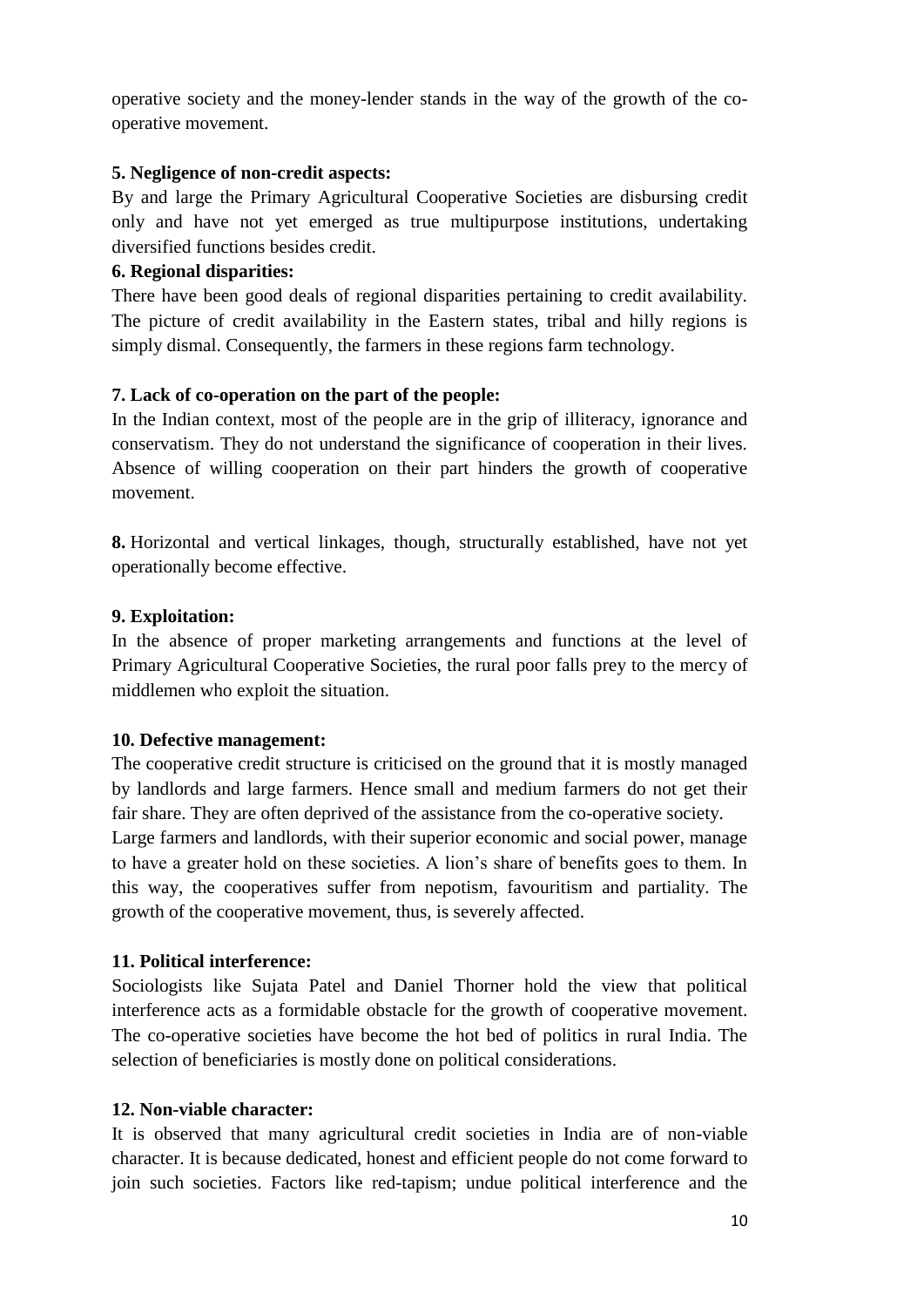# **UNIT- 2 SWARNAJAYANTI GRAM SWAROZGAR YOJANA (SGSY)**

- 2.1 Introduction
- 2.2 Learning Objectives
- 2.3 SGSY: Concept and Strategy
	- 2.3.1 Features of SGSY
	- 2.3.2 A Critical Appraisal of SGSY
- 2.4 (MGNREGA): Mahatma Gandhi National Rural Employment Guarantee Act 2.4.1 Significance of MNREGA:
	-
	- 2.4.2 Salient features of the Act
	- 2.4.3 Funding
	- 2.4.4 Out-comes so far
- 2.5 Let us sum up
- 2.6 Glossary
- 2.7 Check your progress
- 2.8 Model questions
- 2.9 References

# **2.1 INTRODUCTION**

The SGSY, launched on 1st April, 1999, after restructuring the IRDP and allied schemes is the only self-employment programme for the rural poor. Six rural development programmes have been integrated into SGSY. These are: IRDP, TRYSEM, DWCRA, SITRA (Supply of Improved Toolkits to Rural Artisans), GKY (Ganga Kalyan Yojana) and MWS (Million Well Scheme).

# **2.2 LEARNING OBJECTIVES**

After go through this unit, you can able to-

- Understand the concept and objectives of SGSY.
- Explain the significances and features of MNREGA.

#### **2.3 SGSY**

The SGSY aims at bringing the self-employed above the poverty line within a period of three above the poverty line within a period of three years by providing them income generating assets through bank credit and government subsidy. The district Rural Development agencies implement the scheme. The assisted families known as swarozgaries can be either individuals or groups, and would be selected form BPL families by a three, Banks team consisting of Block Development officer, Banks and Sarpanch.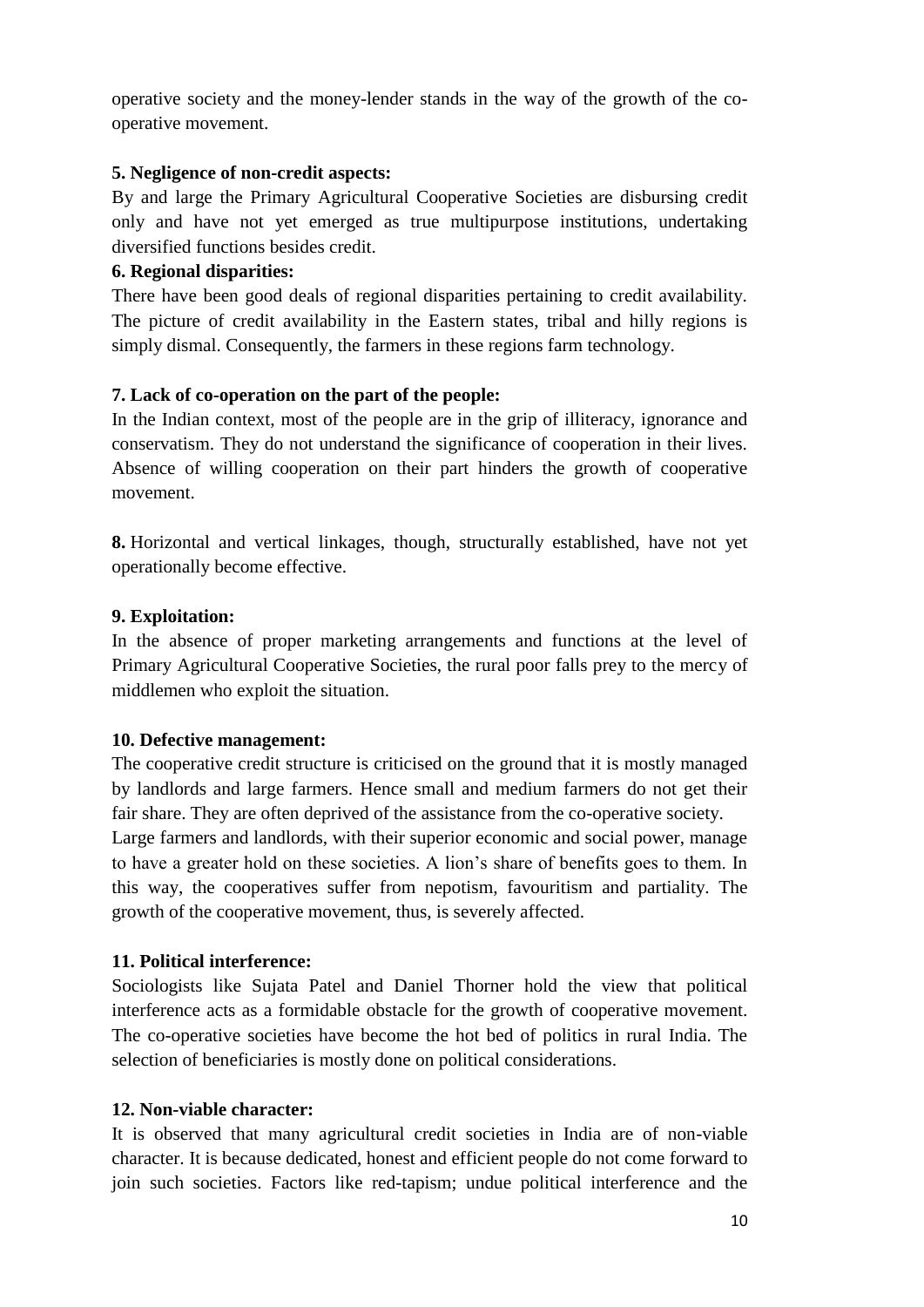# **Strategy of SGSY:**

- The cluster approach for selection of activities.
- Credit channeled mainly through SHGs;
- Training and infrastructure component and
- $\bullet$  Involvement of NGOs.

# **2.3.1 Features of SGSY**

- The SGSY aims at establishing a large number of micro enterprises in the rural areas, building upon the potential of the rural poor.
- The SGSY emphasizes on the cluster approach for establishing the micro enterprises. For this, 4-5 key activities have to be identified in each block. The major share of the SGSY assistance has to be in activity clusters. The SGSY adopts a project approach for each key activity project Reports are to be prepared in respect of each of the identified key activities. The Banks and other Financial institutions have to be closely associated and involved in preparing these project Reports, so as to avoid delays in sanctioning of loans and to ensure adequacy of financing.
- The existing infrastructure for the cluster of activities should be reviewed and gaps identified critical gaps in investment have to be made up under the SGSY, subject to a ceiling of 20% (25% in the case of North Eastern states) of the total allocation made under the SGSY for each District. This amount is maintained by the DRDAs as 'SGSY-Infrastructure fund'.
- In the planning of the key activities, care has to be taken to ensure that the maximum numbers of panchayats are covered without jeopardizing the quality of the programme.
- The assisted families may be individuals or groups (SHGs). The SGSY, however, favours the group approach. The GRAM SABHA authenticates the list of families below the poverty line identified in the BPL census.
- Women and weaker sections will be the focus of poverty eradication effort under SGSY fifty percent of the benefits under the programme will accrue to the SC/STs, 40% to women and 3% to handicapped persons.
- Credit is a critical component in SGSY, subsidy being only a minor and enabling component. It is proposed to involve banks and other financial institutions closely in the planning and preparation of projects, identification of activity clusters, infrastructure planning as well as capacity building and choice of activity of the SHGs.
- The SGSY seeks to promote multiple credits rather than a onetime credit 'injection'. The credit requirement of the swarozgaris needs to be carefully assessed; the swarozgaries are allowed and, in fact encouraged to increase Credit intake over the years.
- The SGSY seeks to lay emphasis on skill development through well designed training courses. Those, who have been sanctioned loans are to be assessed and given necessary training. The design, duration of training and the training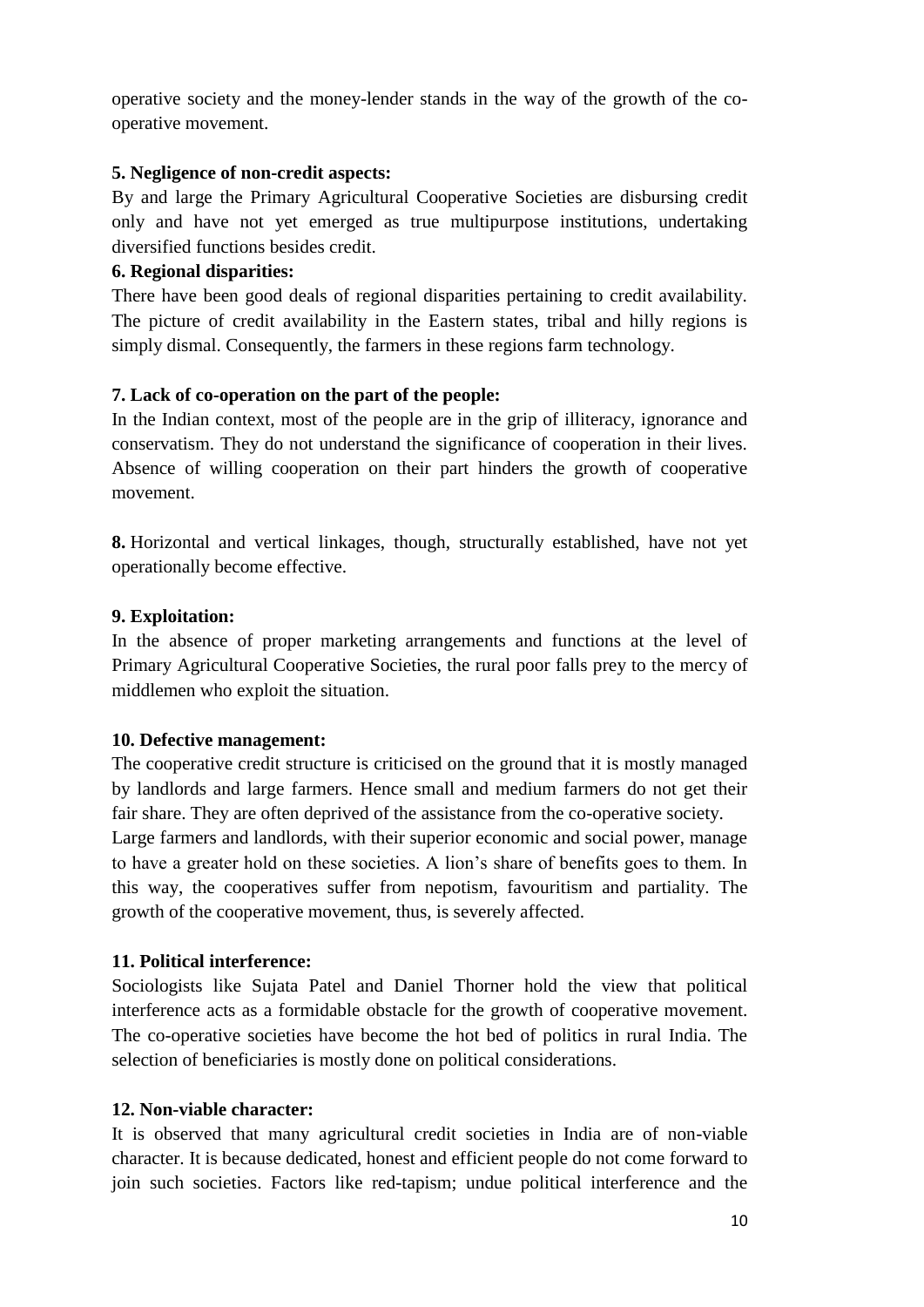curriculum is tailored to meet the needs of the identified key activities. DRDA, are allowed to set apart up to 10% of the SGSY allocation on training. This may be maintained as 'SGSY-Training Fund'.

- The SGSY attempts to ensure upgradation of technology in the identified activity clusters. The technology intervention seek to add value to the local resources including processing of the locally available material form natural and other resources for local and non local market.
- The SGSY provides for promotion of marketing of the goods produces by the SGSY swarozgaries, which involves provision of market intelligence, development of markets and constancy services as well as institutional arrangements for marketing of the goods including exports.
- The SGSY is implemented by the DRDAs to go through the panchayat samitis. The process of planning, implementation and monitoring integrate the banks and other financial institutions, the PRIs, NGOs, as well as Technical Institutions in the district.
- 15% of the funds under the SGSY are set apart at the national level to try new initiatives for self-employment of the rural poor through "Special projects, in conjunction with other departments or semi government/international organization which includes initiatives to be taken in individual districts or across the districts."

# **2.3.2 A Critical Appraisal of SGSY**

- The choice of activity under SGSY must be governed by the resources and skills available in the area and also the market.
- The process of technology identification should be closely interlinked with the identification of key activity itself.
- The technology identified for each activity should be such that it can be managed comfortably by the Swarozgaries, and at the same time leads to quality products.
- The DRDA could not effectively implement IRDP. As such, it will not be successful in monitoring and grading the assisted SHGs

# **The Working Group for the Tenth Plan identifies the following factors as responsible for slow progress of SGSY.**

- a. Delayed start of the programme during 1999-2000 and initial preparatory works;
- b. Time involved in sensitization of different stake holders;
- c. DRDA continued to assist individual swarozgaries more than the SHGs with the resource available with them under the scheme.
- d. Flow of bank credit was also not as desired during the period;
- e. Inadequate delegation of powers to bank branches to sanction beyond a certain limit.
- f. Demand by bank to collateral security for loan beyond Rs.50, 000. Also, inadequate availability of credit has adversely affected average per family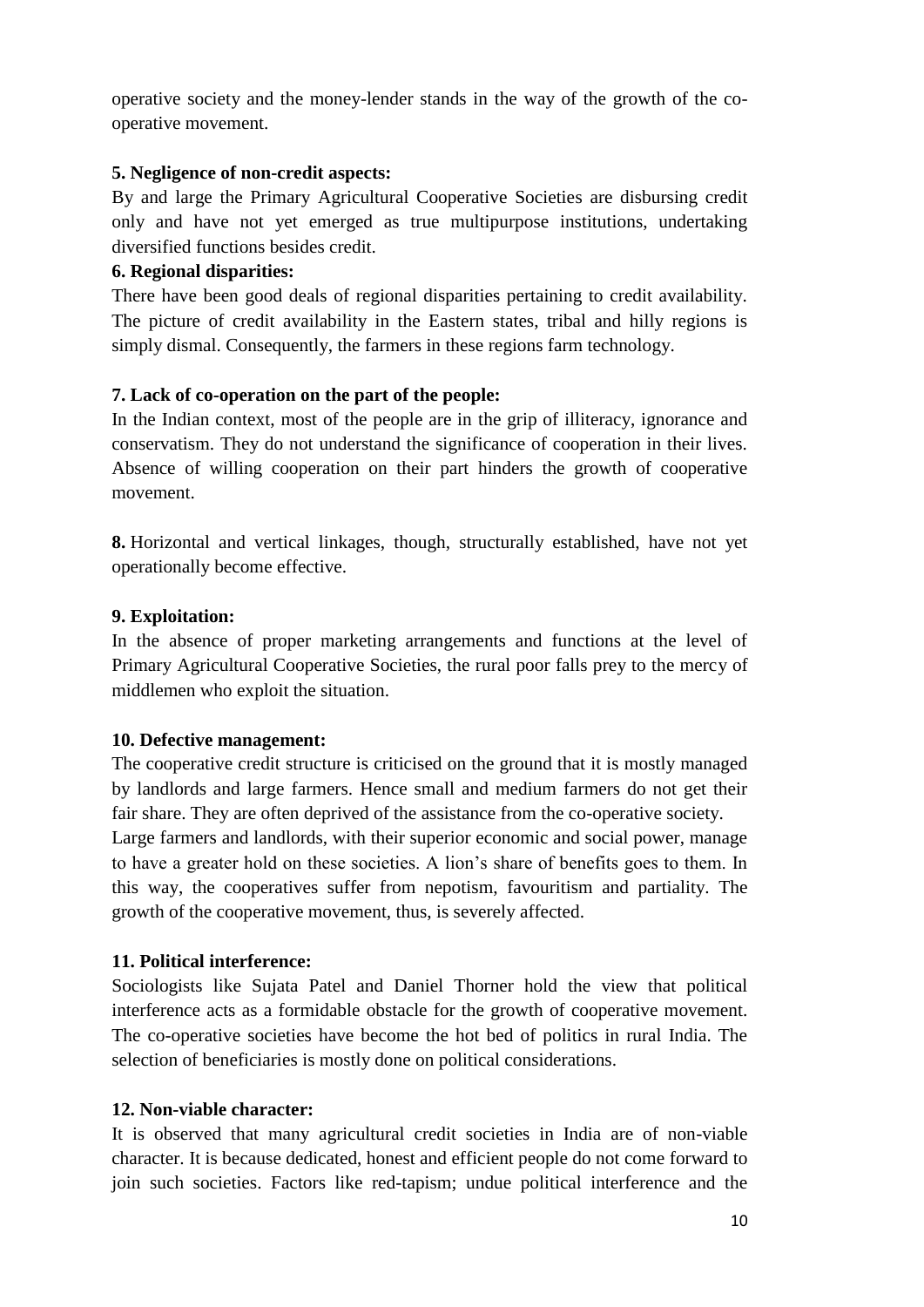investment and credit subsidy ratio during the first two years of the programme.

The national conference of the state ministers of rural development. NGOs, Field level functionaries, banks, SHG members held at the National Institute of Rural development (NIRD), Hyderabad, during 23-24 June, 2001 made some suggestions to strengthen SGSY. These include:

- Relaxation in the number of key activities per block/district.
- Relaxation in the size of the self help group.
- Relaxation in minimum time involved for gradation of groups first for revolving funds and then for assistance to take up economic activities;
- Increasing the loan limit for collateral security both for individual and groups;
- Bankers accountability in implementation of the scheme.
- Active involvement of voluntary sector in social mobilization of the poor;
- Continues sensitization of all concerned and
- Gradual shift from individual finance to group finance and ultimately making group finance 100 percent under the scheme.

#### **Check Your Progress – 2.1**

**Note:** a) Use the space provided for your answers.

b) Check your answers with the possible answers provided at the end of this unit. Q1. Discuss about the Strategy of SGSY.

Ans-

# **2.4 (MGNREGA): MAHATMA GANDHI NATIONAL RURAL EMPLOYMENT GUARANTEE ACT**

The National Rural Employment Guarantee Act (recently renamed as **Mahatma Gandhi National Rural Employment Guarantee Act (MGNREGA)** aims at enhancing the livelihood security of the people in rural areas by providing guaranteed wage employment through works that develop the livelihood resource base of that area so that in that process of employment generation durable assets are built up. The Act was enacted in September 2005. It was notified in 200 districts of 27 States on February 02, 2006, and was extended to 130 additional districts in 2007- 08. All the remaining rural areas have been notified with effect from April 1, 2008.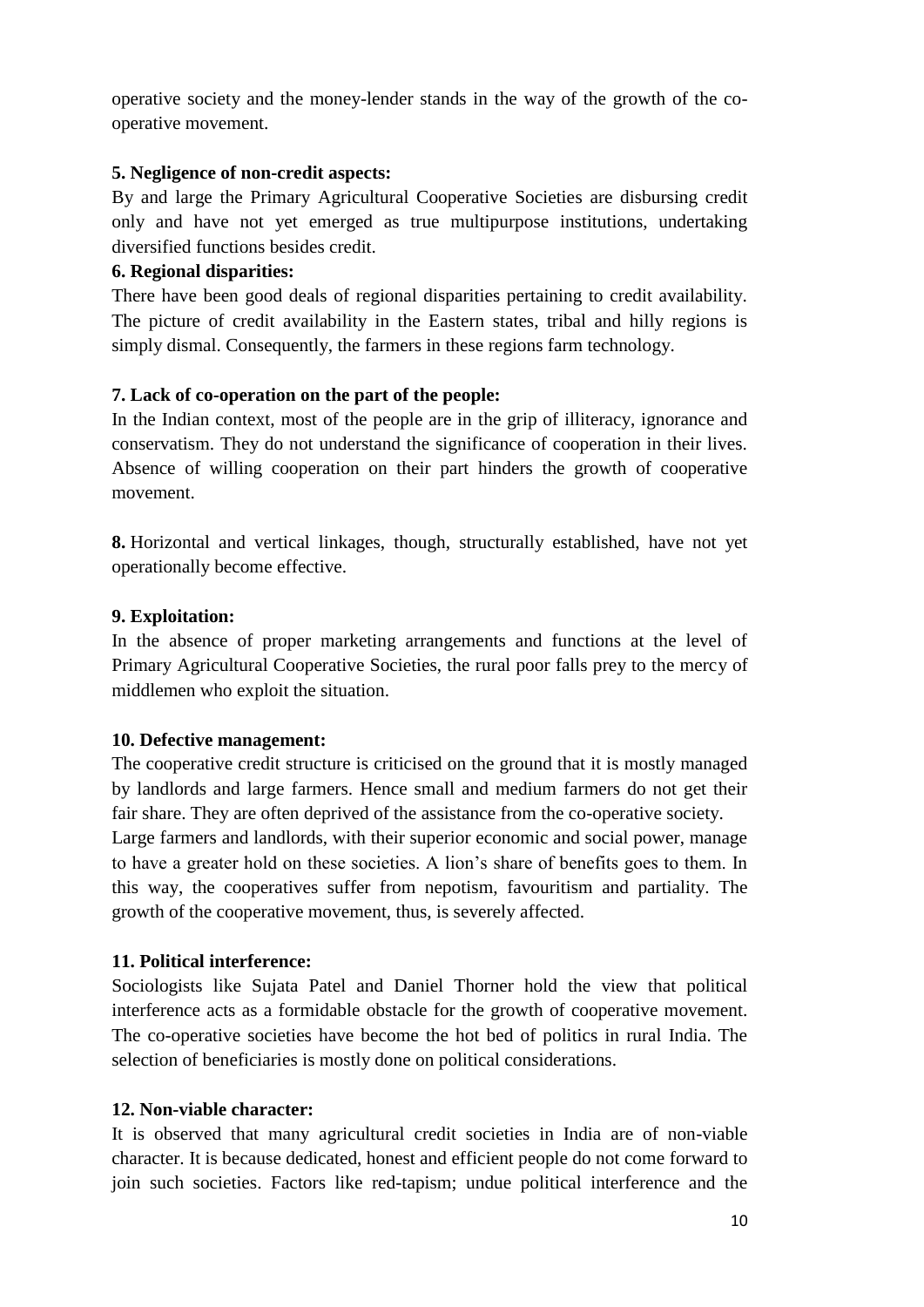# **2.4.1 Significance of MNREGA:**

The significance of NREGA lies in the fact that it operates at many levels. It creates a social safety net for the vulnerable by providing a fall-back employment source, when other employment alternatives are scarce or inadequate. It adds a dimension of equity to the process of growth. It creates a right-based framework for wage employment programmes, by conferring legal entitlements and the right to demand employment upon the workers and makes the Government accountable for providing employment in a time bound manner. By prioritizing natural resource management, and emphasizing the creation of durable assets it holds the potential of becoming a growth engine for sustainable development of an agriculture based economy. Finally, its operational design built around strong decentralization and lateral accountability to local community offers a new way of doing business and a model of governance reform anchored on the principles of transparency and grass root democracy. In this way, the potential of NREGA spans a range from basic wage security and recharging rural economy to a transformative empowerment process of democracy.

# **2.4.2 Salient features of the Act:**

# **Right based framework**

- Adult members of a rural household who are willing to do unskilled manual work may apply for registration to the local Gram Panchayat, in writing, or orally.
- The Gram Panchayat after due verification will issue a Job Card. The Job Card will bear the photograph of all adult members of the household and is free of cost.
- A Job Card holding household may submit a written application for employment to the Gram Panchayat, stating the time and duration for which work is sought.

# **Time bound guarantee**

- The Gram Panchayat will issue a dated receipt of the written application for employment, against which the guarantee of providing employment within 15 days operates. If employment is not provided within 15 days, daily unemployment allowance, in cash has to be paid. Liability of Payment of unemployment allowance is of the Sates.
- Work should ordinarily be provided within 5 km radius of the village or else extra wages of 10% are payable.
- Wages are to be paid according to minimum wages. Disbursement of wages has to be done on weekly basis and not beyond a fortnight.

#### **Women empowerment**

 At least one-third of persons to whom work is allotted work have to be women.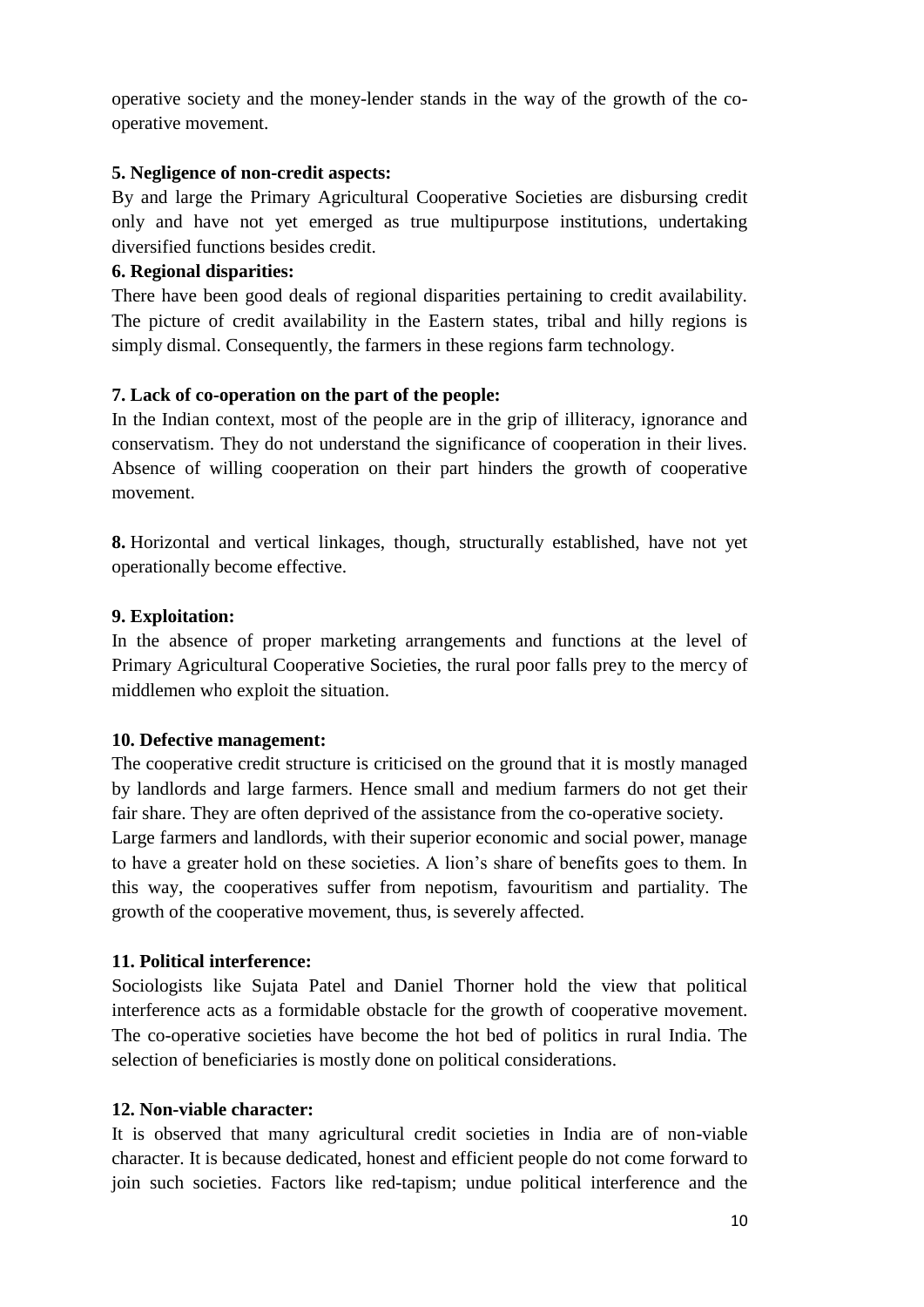# **Work site facilities**

 Work site facilities such as creche, drinking water and shade have to be provided.

# **Decentralised planning**

- The shelf of projects has to be prepared by Gram Sabha. At least 50% of works have to be allotted to Gram Panchayats for execution.
- Panchayat Raj Institutions [PRIs] have a principal role in planning and implementation.

# **Labour intensive works**

 A 60:40 wage and material ratio has to be maintained. Contractors and use of labour displacing machinery is prohibited.

# **Public accountability**

- Social Audit has to be done by the Gram Sabha.
- Grievance redressal mechanisms have to be put in place for ensuring a responsive implementation process.

# **Transparency**

 All accounts and records relating to the Scheme are to be made available to any person desirous of obtaining a copy of such records, on demand and after paying a specified fee.

# **Permissible works:**

- Water conservation
- Drought proofing (including plantation and afforestation)
- Irrigation canals
- Minor irrigation, horticulture and land development on the land of SC/ST/- BPL/IAY and land reform beneficiaries
- Renovation of traditional water bodies
- Flood protection
- Land development
- Rural connectivity
- Any other work that may be notified by the Central Government in consultation with the State Government.

# **2.4.3 Funding:**

The Central Government bears the cost on the following items:

- The entire cost of wages of unskilled manual workers.
- Seventy five percent of the cost of material and wages of skilled and semiskilled workers.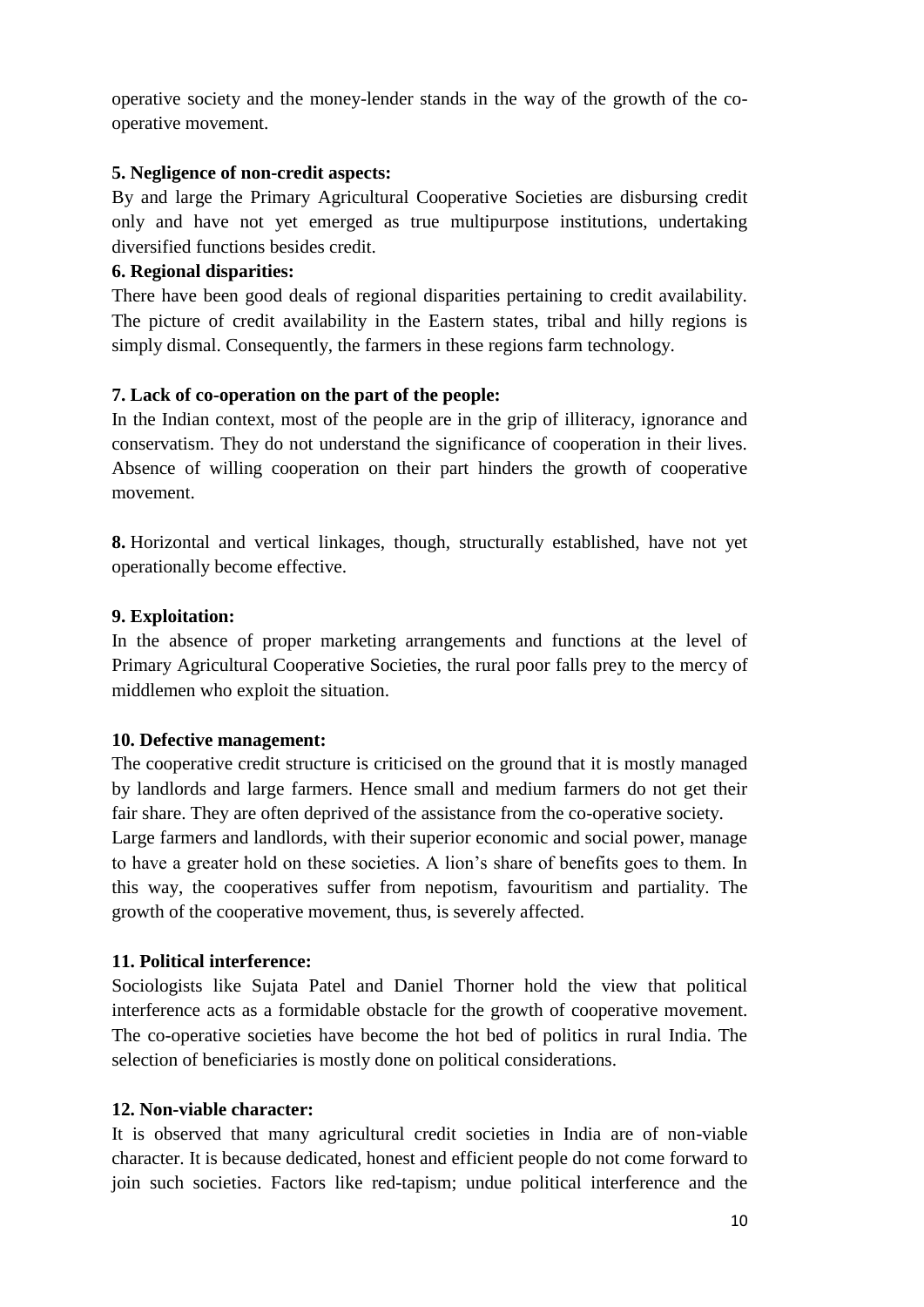- Administrative expenses as may be determined by the central government, which will include inter alia, the salary and the allowances of the Programme Officer and his supporting staff and work-site facilities.
- Expenses of the National Employment Guarantee Council.

# **2.4.4 Out-comes so far:**

Two years of implementation of NREGA vindicates the self-targeting, demandbased nature of the programme. It is also evident that the nature of employment is seasonal and that the duration of employment sought varies according to the prevailing opportunities of employment offered under local agricultural practices and other alternative forms of employment and all job card holding families do not necessarily request for the full 100 days of employment.

The success of the NREGS depend mainly on the greater and efficient functions of the Panchayats, quality of planning, quality of works, maintenance of authentic muster rolls, transparency in works, strict monitoring, free public access to all information, strict field verification, minimum administrative interference, minimum expenses on administrative expenses, regular training and knowledge network. More importantly, no political and bureaucratic interference in the implementation of the MNREGA scheme in its present form and content.

#### **Deficiencies:**

According to the Comptroller and Auditor General (CAG), barely 3.2 per cent of the 50 million registered households could set the full 100 days employment under the scheme. The average employment provided was just 18 days. The main deficiency was the lack of adequate administrative and technical man-power at the block and gram panchayat levels. The lack of manpower adversely affected the preparation of plans, scrutiny, approval, monitoring and measurement of works and maintenance of the stipulated records at the block and GP level. Another deficiency is malpractices, which range from inflated measurement to workers not being on rolls to work given to contractors against the rules. In many states technical staff has not been appointed to manage the scheme. In some cases states have not received the money needed from the centre.

#### **Panchayats have a major role:**

The NREGS has many features that make it different from other rural employment schemes of the government. Firstly, it is set up under an act of Parliament, the National Rural Employment Guarantee Act (NREGA) 2005. This gives it the status of a law and it cannot be dismantled, except by Parliament. Its main USP is that under it any family that applies for work will be entitled to a total of 100 days of unskilled agricultural work at specified minimum wages for any of its adult members. Furthermore, every family that wants work will first have to register with the local gram panchayat, which will then issue it a job card, a booklet which is a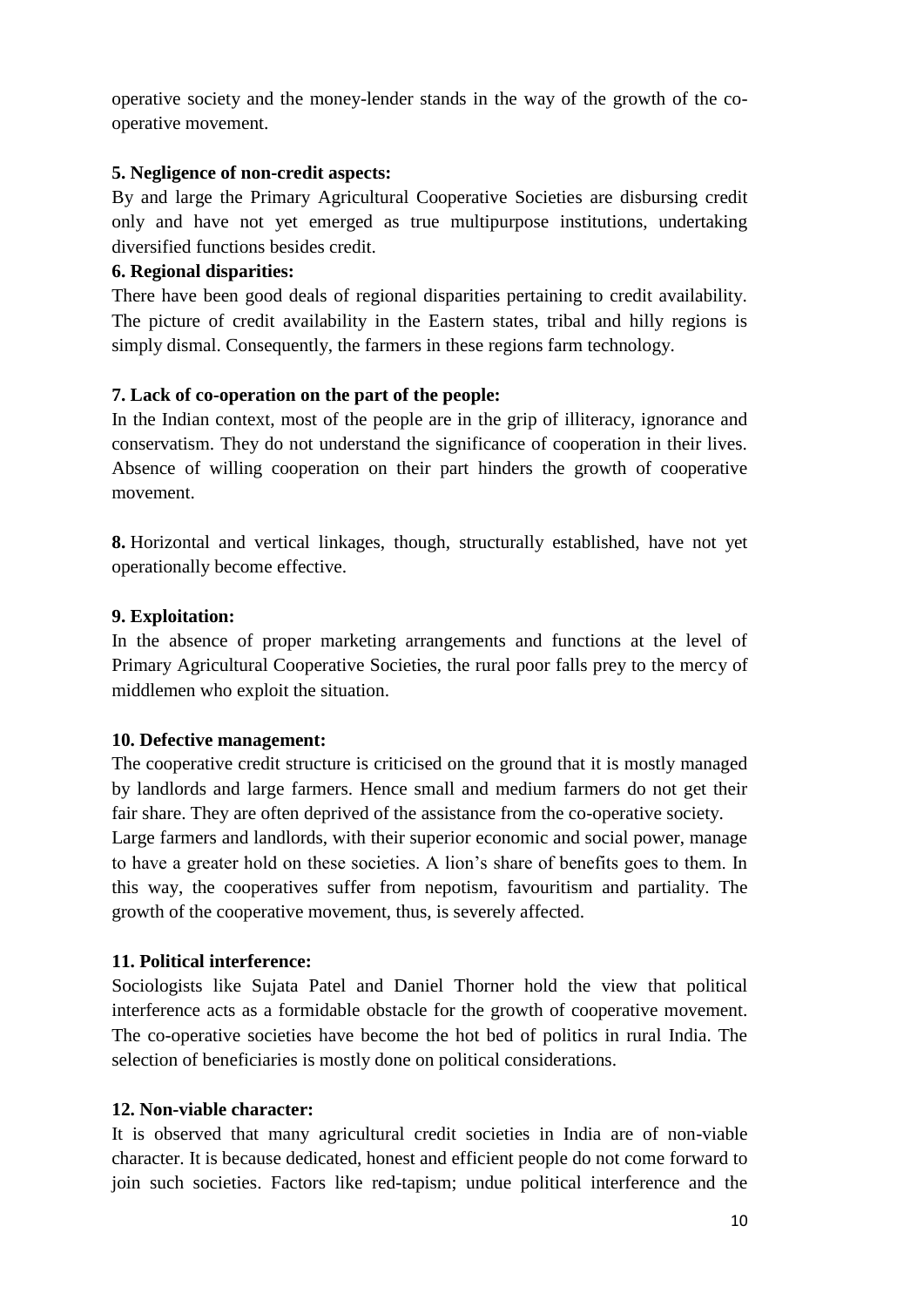kind of identity card with photos of all adult members and would also record the work given and the wages earned by the members of that family.

A job card holding family must then apply for employment, and must be given employment within 15 days of the application for a minimum period of 14 days. This would be paid by the Central government. If it is not given the work it has to be paid a daily unemployment allowance to be paid by the state government. The panchayats are to be involved in a major way by seeing to it that at least half the work is given by them and not by government departments like irrigation, PWD, agriculture or forestry. Thus while the scheme is funded by the Centre, states and panchayats share in its implementation.

The panchayats are to have a major role in planning and deciding upon the work needed under the NREGA. Each district has to prepare a shelf of permissible projects from water conservation, drought proofing (including plantation and afforestation), irrigation works, and renovation of traditional water bodies, land development, flood protection and rural connectivity. Thus a crucial aspect of the NREGA is building up agricultural asset to increase productivity besides providing employment.

# **Check Your Progress – 2.2**

**Note:** a) Use the space provided for your answers. b) Check your answers with the possible answers provided at the end of this unit. Q2. Discuss at least one features of MNREGA? Ans-

# **2.10 LET US SUM UP**

- The SGSY, launched on 1st April, 1999, after restructuring the IRDP and allied schemes is the only self employment programme for the rural poor.
- Six rural development programmes have been integrated into SGSY. These are: IRDP, TRYSEM, DWCRA, SITRA (Supply of Improved Toolkits to Rural Artisans), GKY (Ganga Kalyan Yojana) and MWS (Million Well Scheme).
- Women and weaker sections will be the focus of poverty eradication effort under SGSY fifty percent of the benefits under the programme will accrue to the SC/STs, 40% to women and 3% to handicapped persons.
- The National Rural Employment Guarantee Act (recently renamed as Mahatma Gandhi National Rural Employment Guarantee Act (MGNREGA) aims at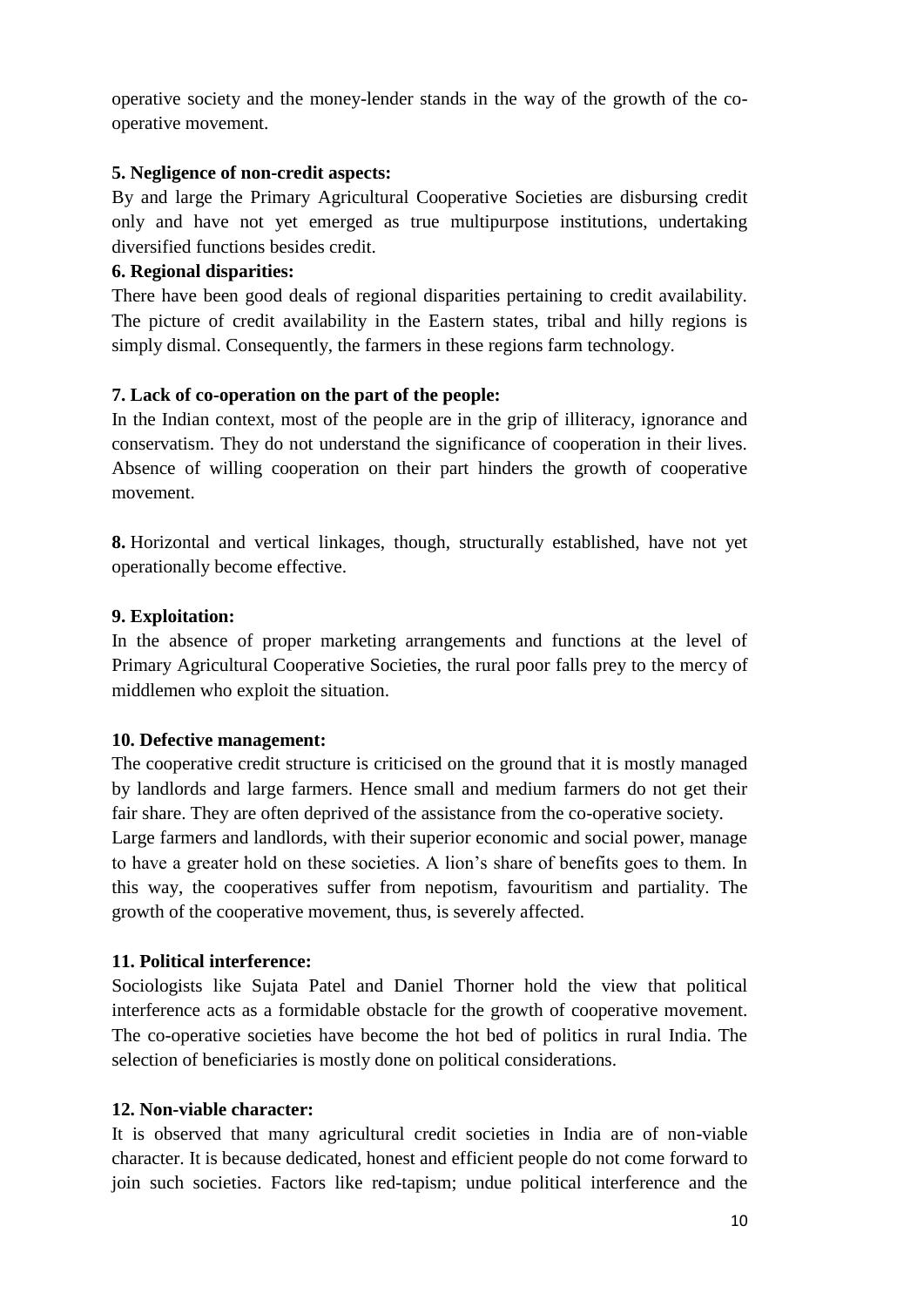enhancing the livelihood security of the people in rural areas by providing guaranteed wage employment through works that develop the livelihood resource base of that area so that in that process of employment generation durable assets are built up.

#### **2.11 GLOSSARY**

**Planning:** It is the process of thinking about the activities required to achieve a desired goal. It is the first and foremost activity to achieve desired results.

**Accountability:** the quality or state of being accountable especially: an obligation or willingness to accept responsibility or to account for one's actions public officials lacking accountability.

# **2.12 CHECK YOUR PROGRESS**

Ans to Q1- **Strategy of SGSY:**

- The cluster approach for selection of activities.
- Credit channeled mainly through SHGs;
- Training and infrastructure component and
- $\bullet$  Involvement of NGOs.

# Ans to Q2- **Features of MNREGA**

1-Right based framework

- Adult members of a rural household who are willing to do unskilled manual work may apply for registration to the local Gram Panchayat, in writing, or orally.
- The Gram Panchayat after due verification will issue a Job Card. The Job Card will bear the photograph of all adult members of the household and is free of cost.
- A Job Card holding household may submit a written application for employment to the Gram Panchayat, stating the time and duration for which work is sought.

# **2.13 MODEL QUESTIONS**

- 1. Explain the aims, strategy, and salient features of Swarnajayanti Gram Swarozgar Yojana?
- 2. Explain the major significances & features of MNREGA?

# **2.14 REFERENCES**

1. Bureau, Our. ["Deen Dayal Antyodaya Yojana launched".](https://www.thehindubusinessline.com/news/national/Deen-Dayal-Antyodaya-Yojana-launched/article20873859.ece) @businessline.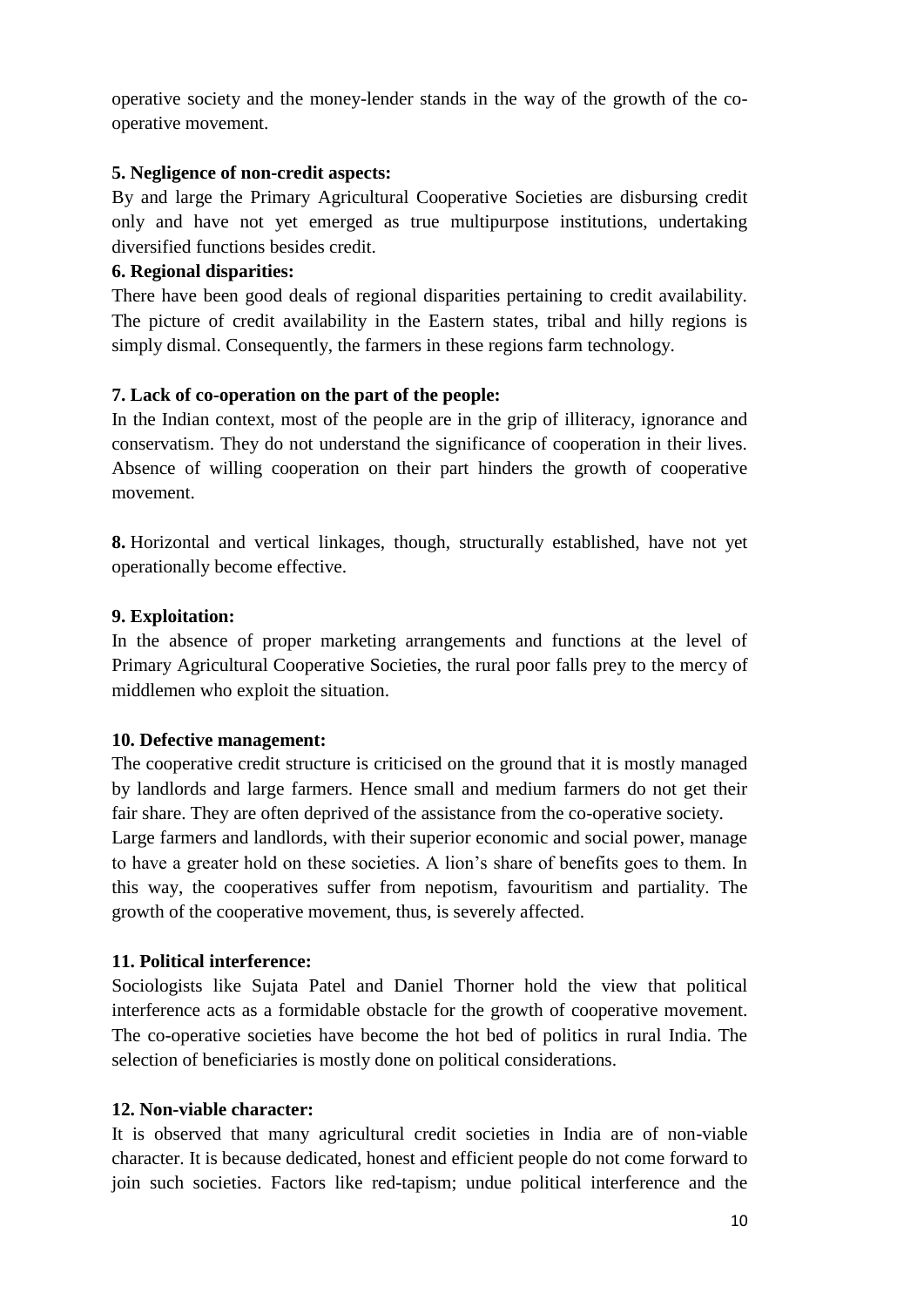- 2. ["Government announces 'Deen Dayal Upadhyaya Antyodaya Yojana'-](https://pib.gov.in/newsite/PrintRelease.aspx?relid=110033) DAY for [uplift of urban, rural poor".](https://pib.gov.in/newsite/PrintRelease.aspx?relid=110033) pib.gov.in.
- 3. ["Rural economy gets a boost as bank credit to SHGs increase in](https://m.hindustantimes.com/india-news/rural-economy-gets-a-boost-as-bank-credit-to-shgs-increase-in-northern-eastern-states/story-ORR3bDtZeoR7ZgD5gWQS4I.html)  [northern,southern, eastern states",](https://m.hindustantimes.com/india-news/rural-economy-gets-a-boost-as-bank-credit-to-shgs-increase-in-northern-eastern-states/story-ORR3bDtZeoR7ZgD5gWQS4I.html) [Hindustan Times,](https://en.wikipedia.org/wiki/Hindustan_Times) 19 November 2017
- 4. ["SGSY renamed as National Rural Livelihood Mission \(NRLM\)".](http://pib.nic.in/newsite/erelease.aspx?relid=49803) pib.gov.in. Retrieved 23 March 2020.
- 5. Ministry of Rural Development (2005). ["Mahatma Gandhi National Rural](https://web.archive.org/web/20120504092211/https:/rural.nic.in/sites/downloads/right-information-act/02%20_CIC_PartII_MG_NREGA(F).pdf)  [Employment Guarantee Act \(Mahatma Gandhi NREGA\)"](https://web.archive.org/web/20120504092211/https:/rural.nic.in/sites/downloads/right-information-act/02%20_CIC_PartII_MG_NREGA(F).pdf) (PDF). "Ministry of Rural Development", [Government of India.](https://en.wikipedia.org/wiki/Government_of_India) Archived from [the original](https://rural.nic.in/sites/downloads/right-information-act/02%20_CIC_PartII_MG_NREGA(F).pdf) (PDF) on 4 May 2012. Retrieved 5 November 2013.
- 6. Ministry of Rural Development (2005). ["The National Rural Employment](http://nrega.nic.in/Nrega_guidelines.pdf)  [Guarantee Act 2005 \(NREGA\) –](http://nrega.nic.in/Nrega_guidelines.pdf) Operational Guidelines" (PDF). "Ministry of Rural Development", [Government of India.](https://en.wikipedia.org/wiki/Government_of_India) Retrieved 5 November 2013.
- 7. Ministry of Rural Development (2012). [MGNREGA Sameeksha, An Anthology](https://web.archive.org/web/20130921125532/http:/nrega.nic.in/netnrega/writereaddata/Circulars/MGNREGA_SAMEEKSHA.pdf)  [of Research Studies on the Mahatma Gandhi National Rural Employment](https://web.archive.org/web/20130921125532/http:/nrega.nic.in/netnrega/writereaddata/Circulars/MGNREGA_SAMEEKSHA.pdf)  [Guarantee Act, 2005, 2006–2012](https://web.archive.org/web/20130921125532/http:/nrega.nic.in/netnrega/writereaddata/Circulars/MGNREGA_SAMEEKSHA.pdf) (PDF).
- 8. "Ministry of Rural Development", [Government of India.](https://en.wikipedia.org/wiki/Government_of_India) New Delhi: Orient BlackSwan. [ISBN](https://en.wikipedia.org/wiki/ISBN_(identifier)) [978-81-250-4725-4.](https://en.wikipedia.org/wiki/Special:BookSources/978-81-250-4725-4) Archived from [the original](http://nrega.nic.in/netnrega/writereaddata/Circulars/MGNREGA_SAMEEKSHA.pdf) (PDF) on 21 September 2013. Retrieved 21 November 2013.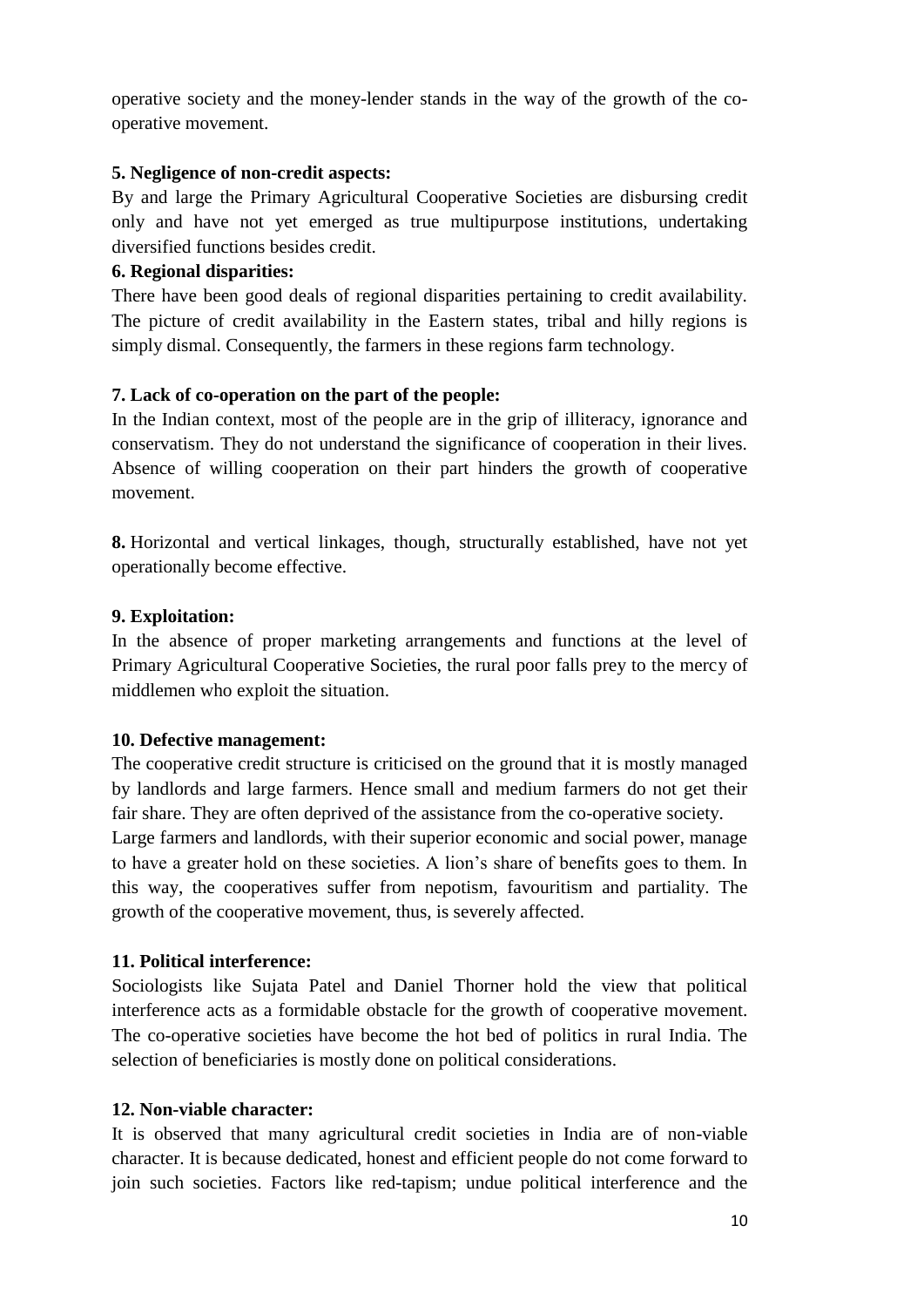# **UNIT**- **3 NATIONAL RURAL LIVELIHOOD MISSION (NRLM) / AAJEEVIKA**

- 3.1 Introduction
- 3.2 Learning Objectives
- 3.3 NRLM: Key Features and Focus
- 3.4 Support Structure
- 3.5 Special Projects, Sub-components and Initiatives
- 3.6 Funding and financial assistance
- 3.7 Phased Implementation under Five Year Plans
- 3.8 Let us sum up
- 3.9 Glossary
- 3.10 Check your progress
- 3.11 Model questions
- 3.12 References

# **3.1 INTRODUCTION**

Showing deep concern regarding the issues of livelihood, the Ministry of Rural Development, Government of India, has launched a new comprehensive and ambitious programme, i.e. National Rural Livelihood Mission (NRLM) / Aajeevika on 3rd June of 2011, to improve the livelihoods and quality of life of rural people, after restricting the Swarnajayanti Gram Swarojgar Yojana (SGSY). The aim of this programme is to create efficient and effective institutional platforms for the rural poor, enabling them to increase household income through sustainable livelihood enhancements, and improved access to financial services.

# **3.2 LEARNING OBJECTIVES**

After go through this unit, you can able to

- Explain NRLM: Key Features and Focus
- Understand its Support Structure
- Identify Special Projects, Sub-components and Initiatives
- Discuss about its Funding and Financial Assistance
- Discuss the Phased Implementation under Five Year Plans

# **3.3 NRLM: KEY FEATURES AND FOCUS**

The mission statement of NRLM says "To reduce poverty by enabling the poor households to access gainful self-employment and skilled wage employment opportunities resulting in appreciable improvement in their livelihoods on a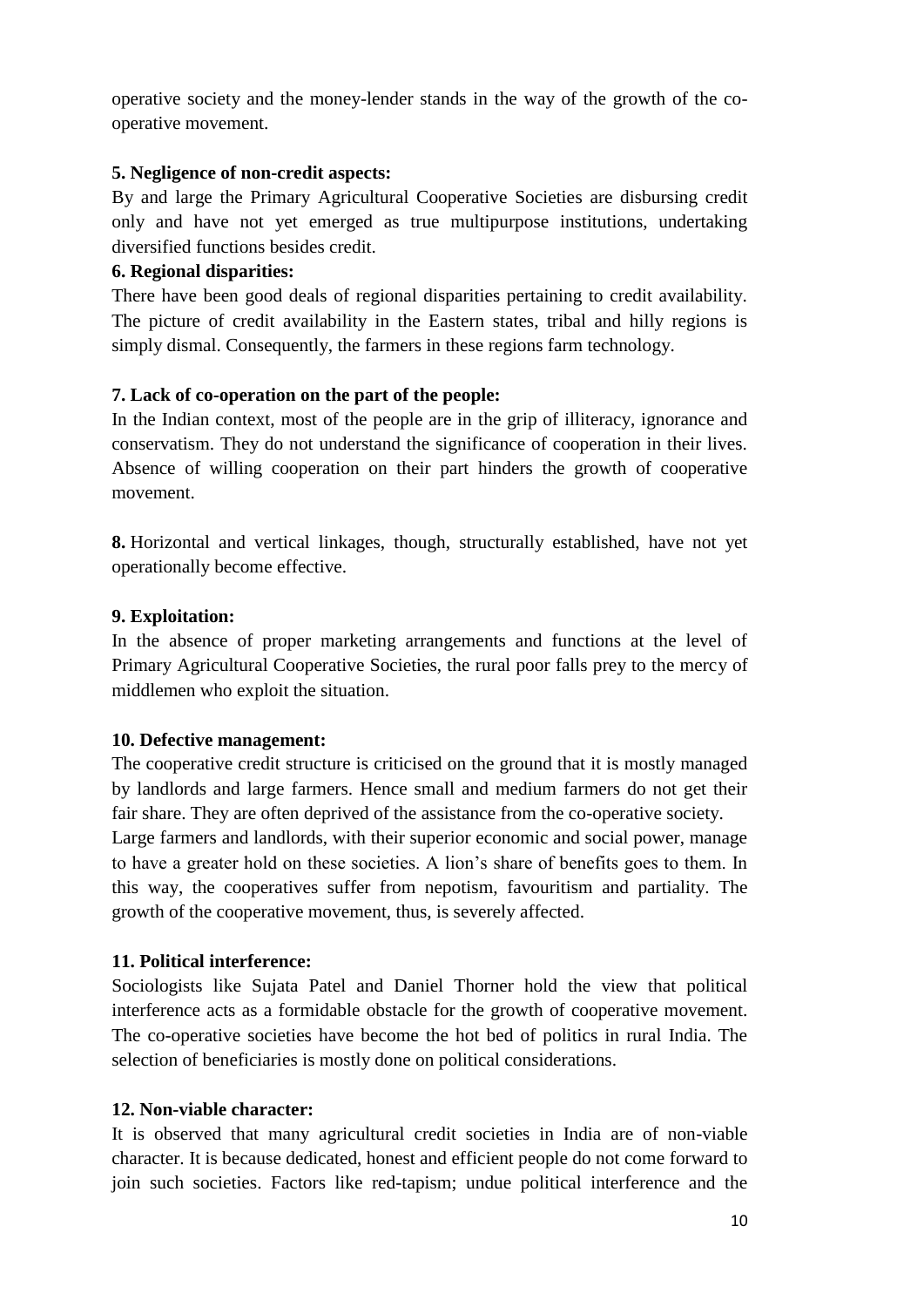sustainable basis, through building strong and sustainable grassroots institutions of the poor." In the General Budget for the year 2013-14 Rs 4000 crores have been earmarked for the Aajeevika. This was further renamed as Deendayal Antyodaya Yojana – National Rural Livelihoods Mission (DAY-NRLM) in March, 2016.

The key features of this programme is to achieve universal social and financial inclusion of every poor household in the process of mainstream development through universal social mobilization and promotion of institutions of the poor (SHGs and their village level and higher level federations), in which it is intended to include at least one member from each identified rural poor household, preferably a woman, under the Self Help Group (SHG) network in a time bound manner. The programme is considered as a shift from the present allocation based strategy to a demand driven strategy and focuses on outcomes, time bound delivery, continuous capacity building, imparting requisite skills, and creating linkages with livelihoods opportunities for the poor. As per the mission document NRLM works on three pillars — enhancing and expanding existing livelihoods options of the poor; building skills for the job market outside; and nurturing self-employed and entrepreneurs. It also tries to bring about convergence with other programmes of rural transformation, linkages with Panchayati Raj Institutions, and NGOs/ CBOs. It is done through dedicated support structures to build and strengthen institutional platforms of the poor. This can be seen through the diagram given below.

On May 6, 2013 Cabinet decided to change the mechanism for identification of target groups under N.R.L.M from the BPL list based on Participatory Identification of Poor (PIP) process, at the level of the community. The list finalised through the P.I.P process will be scrutinized by the Gram Sabha and approved by the Gram Panchayat.

# **3.4 SUPPORT STRUCTURE**

NRLM works through a structure of dedicated support at national level-National Mission Management Unit (NMMU), Advisory Committee (AC), Coordination Committee (CC) , Empowered Committee (EC); at the state level-State Rural Livelihoods Mission (SRLM), State Mission Management Unit (SMMU); at the district- [District Mission Management Unit (DMMU); at the block level- Block Mission Management Unit (BMMU), and Project Facilitation Team (PFTs) at Subblock level to catalyze social mobilization, build institutions, capacities and skills, facilitate financial inclusion and access to financial services, support livelihoods and convergence and partnerships with various programmes and stakeholders. Recently, Cabinet (on May 6, 2013) has decided to set up National Rural Livelihoods Promotion Society (NRLPS) at national level under the Societies Registration Actan 'autonomous, adequately staffed, professionally managed, and empowered agency will act as the technical support unit of NRLM.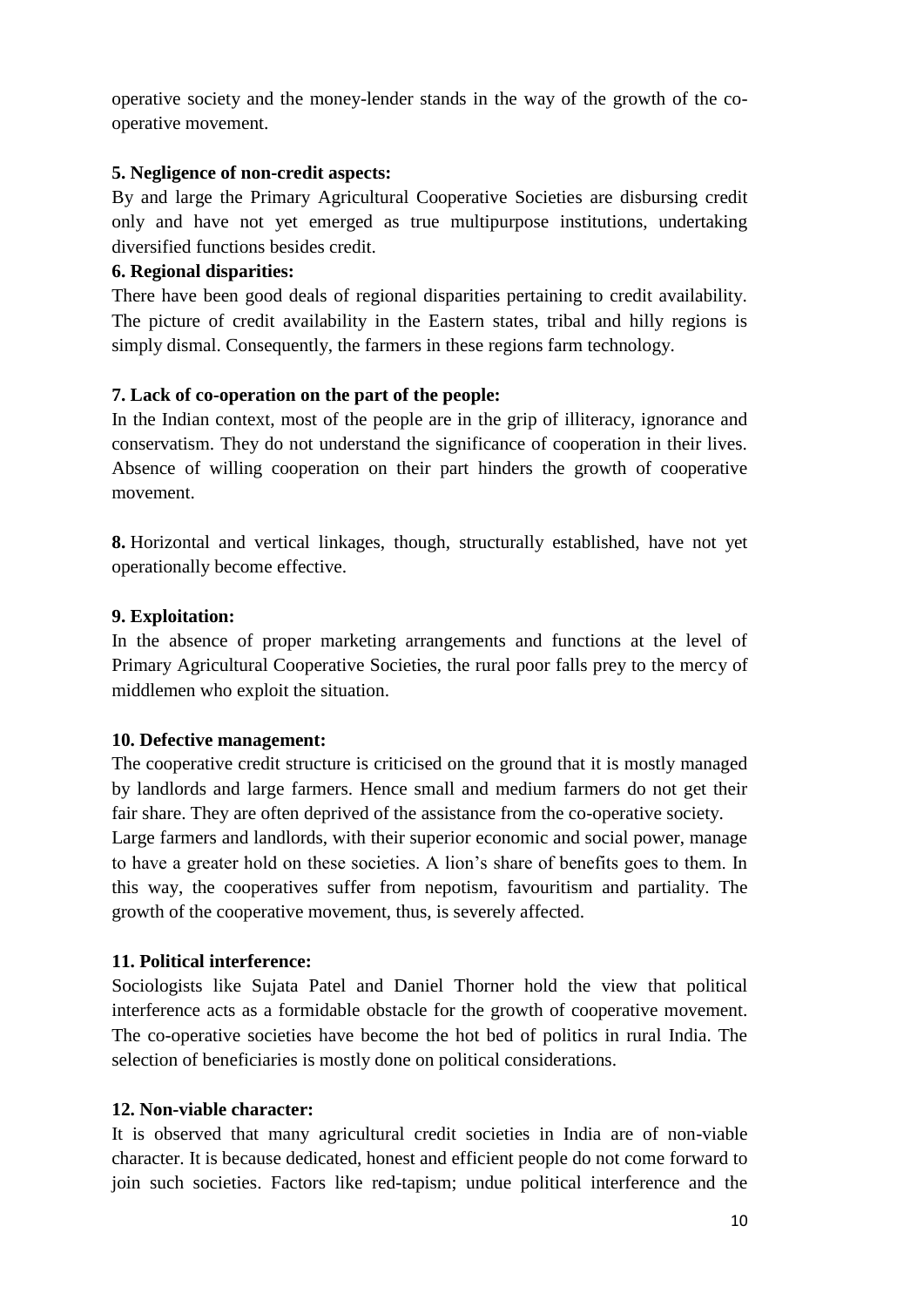# **3.5 SPECIAL PROJECTS, SUB-COMPONENTS AND INITIATIVES**

The 'Placement linked skills development projects' started under SGSY for skill development in 2004-05 and 'Rural Self Employment Training Institutes' (RSETIs) programme for skilling rural BPL for self-employment, under the aegis of the banking sector have been continued in NRLM. A special project 'Himayat' has been set up exclusively for Jammu and Kashmir. Recently 'Roshni' has been launched to provide placement linked skill development for rural youths in 24 Left Wing Extremist (LWE) affected districts.

Mahila Kisan Sashaktikaran Pariyojana (MKSP) a livelihood initiative under NRLM was launched in 2011 to enhance the opportunities and empower women engaged in agriculture and Non Timber Forest Produce (NTFP) production. As per the briefing report (December 2012), the Ministry has sanctioned 37 projects in 12 states under MKSP during the year 2012-13, with a budget of Rs.574.28 crores. A unique scheme of Youth Professional (YP) under NRLM has been formulated to develop a talented pool of Young Professionals (YP) with passion and training to work with poor and potential to become development leaders.

#### **3.6 FUNDING AND FINANCIAL ASSISTANCE**

The funding pattern under NRLM is based on sharing between the Centre and the States in the ratio of 75:25 (90:10 in case of North Eastern States including Sikkim; completely from the Centre in case of UTs). The Central allocation earmarked for the States is broadly distributed in relation to the incidence of poverty in the States. NRLM provides revolving fund support to the SHGs (SHGs that have not received any RF earlier), as corpus, with a minimum of Rs. 10,000 and up to a maximum of Rs. 15,000 per SHG. As per cabinet decision of May 6, 2013, the provision of capital subsidy support to the SHGs has been withdrawn and a new grant called Community Investment Support Fund (CISF) has been put in place for the 'intensive' blocks, which will be used by the Federations to advance loans to S.H.Gs and to undertake common socio-economic activities.

It has also been decided in the cabinet to replace the Interest Subsidy with Interest Subvention of 3 percent to Women SHGs, enabling them to avail loans up to Rs. 3 lakh at an interest rate of 7 per cent per annum. The additional 3 per cent subvention will reduce the effective rate of interest to 4 per cent for those Women SHGs, who repay loans in time; and this initiative, in the first phase, would focus on 150 districts, including the 82 IAP districts, affected by Left Wing Extremism. The other financial proviso include administrative expenditure of 5% of the allocation, net of the component relating to skill development and placement and net of the component of RSETIs, Infrastructure and Marketing (Up to 20% (25% in case of north eastern states and Sikkim), and for Skills and Placement Projects and Innovations (20% of the Central allocation).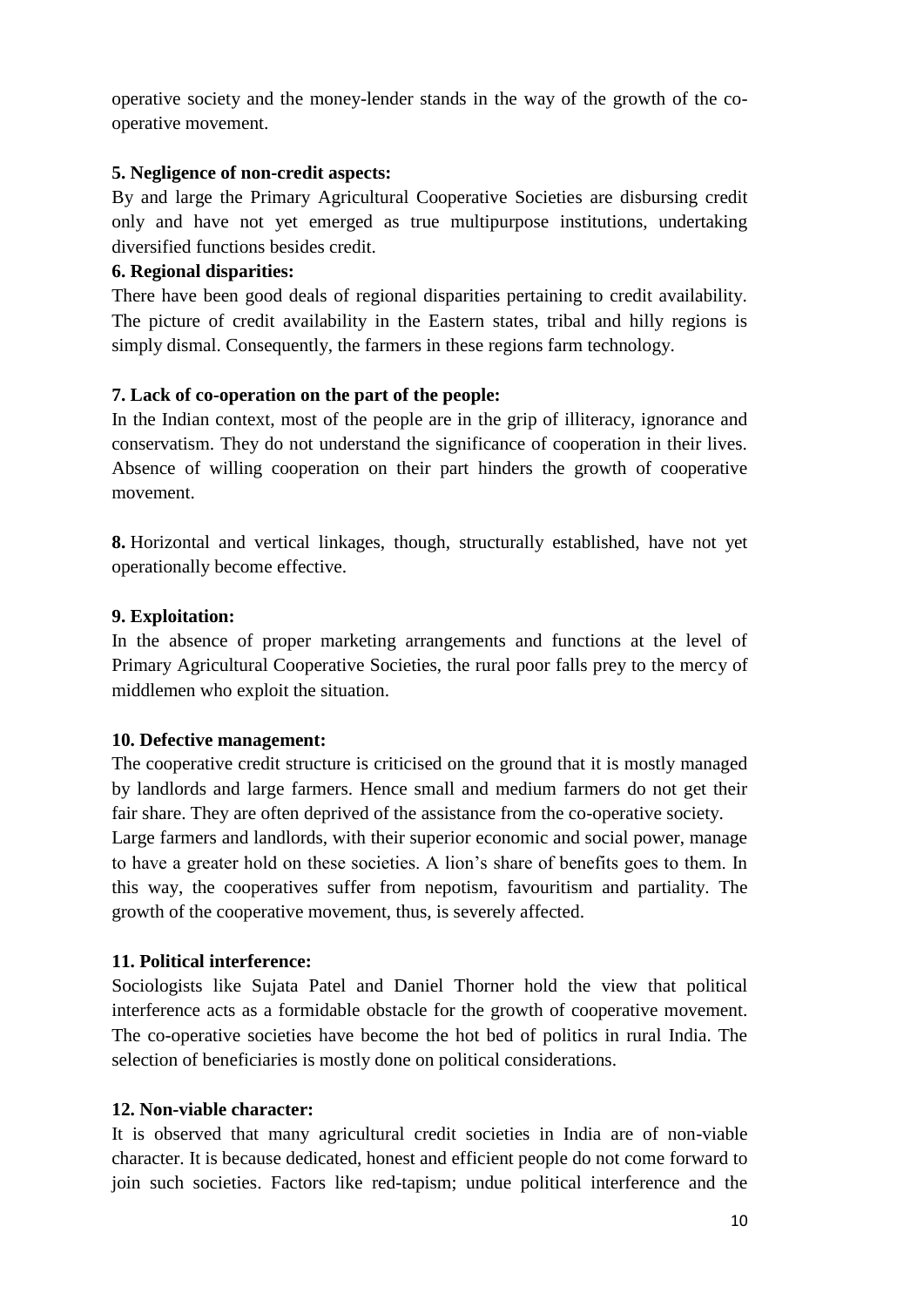# **3.7 PHASED IMPLEMENTATION UNDER FIVE YEAR PLANS**

It has been decided that NRLM will be implemented in a phased manner to ensure quality of outcomes. In each phase, select districts and blocks will be identified by each state for intensive implementation of the activities under Aajeevika. The identified 'intensive blocks' are entitled to get full features of NRLM. The table below details the annualized phases of implementation plan under Five Year Plans i.e. 12th and 13th. NRLM is another step towards providing sustainable livelihood and quality life in rural areas by igniting the innate capabilities of the poor, and building and strengthening their institution or federation with a particular emphasis on women led institutions. No doubt, there is lot of contradictions, inadequacies in the provisos and, challenges that need to be addressed in time.

# **3.8 LET US SUM UP**

- Ministry of Rural Development, Government of India, has launched a new comprehensive and ambitious programme, i.e. National Rural Livelihood Mission (NRLM) / Aajeevika on 3rd June of 2011, to improve the livelihoods and quality of life of rural people, after restricting the Swarnajayanti Gram Swarojgar Yojana (SGSY).
- This was further renamed as Deendayal Antyodaya Yojana National Rural Livelihoods Mission (DAY-NRLM) in March, 2016.
- The key feature of this programme is to achieve universal social and financial inclusion of every poor household in the process of mainstream development through universal social mobilization and promotion of institutions of the poor.
- Mahila Kisan Sashaktikaran Pariyojana (MKSP) a livelihood initiative under NRLM was launched in 2011 to enhance the opportunities and empower women engaged in agriculture and Non Timber Forest Produce (NTFP) production.

# **Check Your Progress – 3.1**

**Note:** a) Use the space provided for your answers.

b) Check your answers with the possible answers provided at the end of this unit.

Q1. NRLM was set up on which year? Ans-

Q.2 National Rural Livelihoods Mission was replaced by which programme? Ans-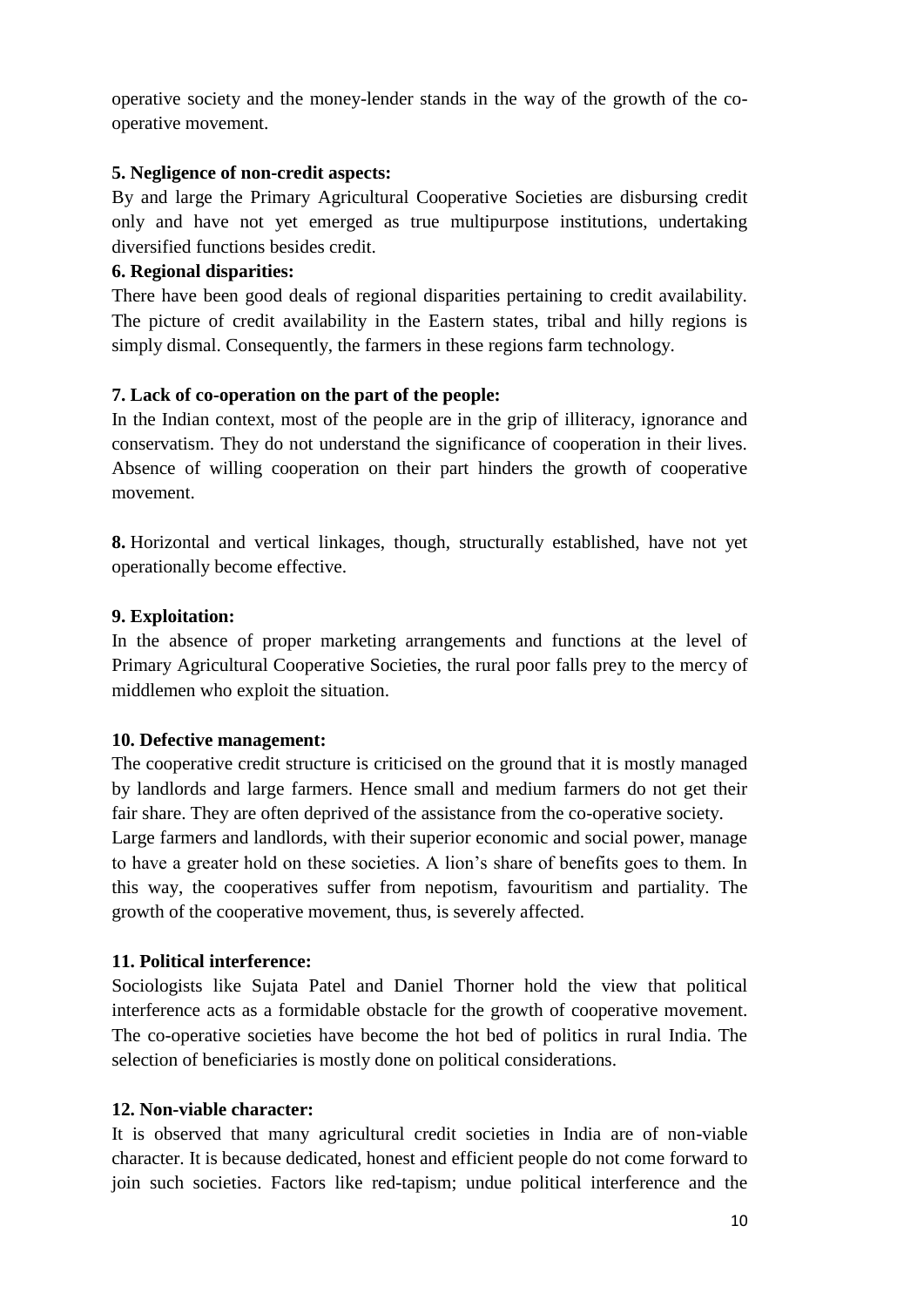# **3.9 GLOSSARY**

**Livelihood**- A person's livelihood refers to their "means of securing the basic necessities (food, water, shelter and clothing) of life"

**Innovation-** The practice of developing and introducing new things.

# **3.10 CHECK YOUR PROGRESS**

Ans to Q1- NRLM was set up on 3rd June of 2011

Ans to Q2- National Rural Livelihoods Mission was replaced by Deendayal Antyodaya Yojana .

#### **3.11 MODEL QUESTIONS**

- 1. What is NRLM & explain it's support structure?
- 2. Discuss about the Funding and Financial Assistance of NRLM.

#### **3.12 REFERENCES**

- 1. [http://www.smeworld.org/story/micro-finance/national-rural-livelihood](http://www.smeworld.org/story/micro-finance/national-rural-livelihood-mission-nrlm.php)[mission-nrlm.php.](http://www.smeworld.org/story/micro-finance/national-rural-livelihood-mission-nrlm.php) Retrieved from 'SME World' on 31 July 2013
- 2. ["Deen Dayal Antyodaya Yojana launched".](http://www.thehindubusinessline.com/news/national/deen-dayal-antyodaya-yojana-launched/article6446616.ece) 25 September 2014. Retrieved 16 July *2016*
- 3. ["Government announces 'Deen Dayal Upadhyaya Antyodaya Yojana' -](http://pib.nic.in/newsite/PrintRelease.aspx?relid=110033) DAY [for uplift of urban, rural poor".](http://pib.nic.in/newsite/PrintRelease.aspx?relid=110033) pib.nic.in. Retrieved 16 July 2016.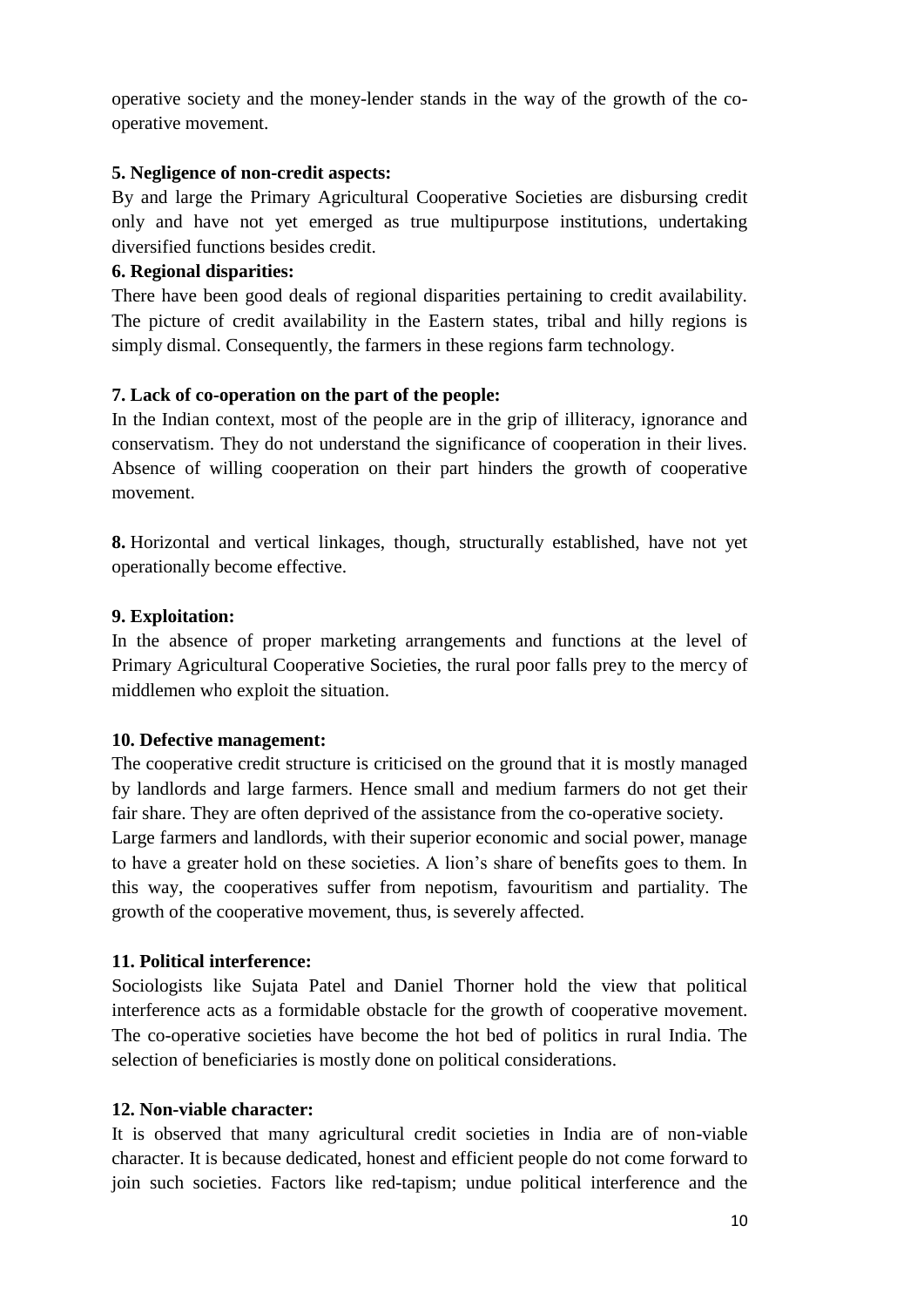# **UNIT - 4 NATIONAL RURAL HEALTH MISSION- (NRHM)**

- 4.1 Introduction
- 4.2 Learning Objectives
- 4.3 Main aim of NRHM
- 4.4 Strategy
- 4.5 Functions of NRHM
- 4.6 Let us sum up
- 4.7 Glossary
- 4.8 Check your progress: Answer Keys
- 4.9 Model questions
- 4.10 References

# **4.1 INTRODUCTION**

The National Rural Health Mission (NRHM) has been launched on 12th April 2005 by Hon'ble Prime Minister and is being operationalised form the financial year 2005-06 throughout the country with special focus one 18 status which includes 8 empowered action group status (Bihar, Jharkhand, M.P., Chhatisgarh, U.P., Uttaranchal, Orissa and Rajasthan), 8 north-east status (Assam, Arunachal Pradesh, Manipur, Meghalaya, Mizoram, Nagaland, Sikkim and Tripura), Himachal Pradesh and Jammu and Kashmir.

# **4.2 LEARNING OBJECTIVES**

After go through this unit, you will able to

- Understand the meaning and Aim of NRHM
- Discuss about its functions

# **4.3 MAIN AIMS OF NRHM**

- 1. To provide accessible, affordable, accountable effective and reliable primary health care facilities, especially, to the poor and vulnerable sections of the population.
- 2. To bridging the gap in Rural health care services through the creation of a cadre of accredited social health activists (ASHA) and improved hospital care decentralization of programme to district level to improve intra and intersectoral convergence and utilization of resources.
- 3. To provide overarching umbrella to the existing programmes of health and family welfare.
- 4. It seeks to revitalize local health traditions and mainstream AYUSH into the public health system.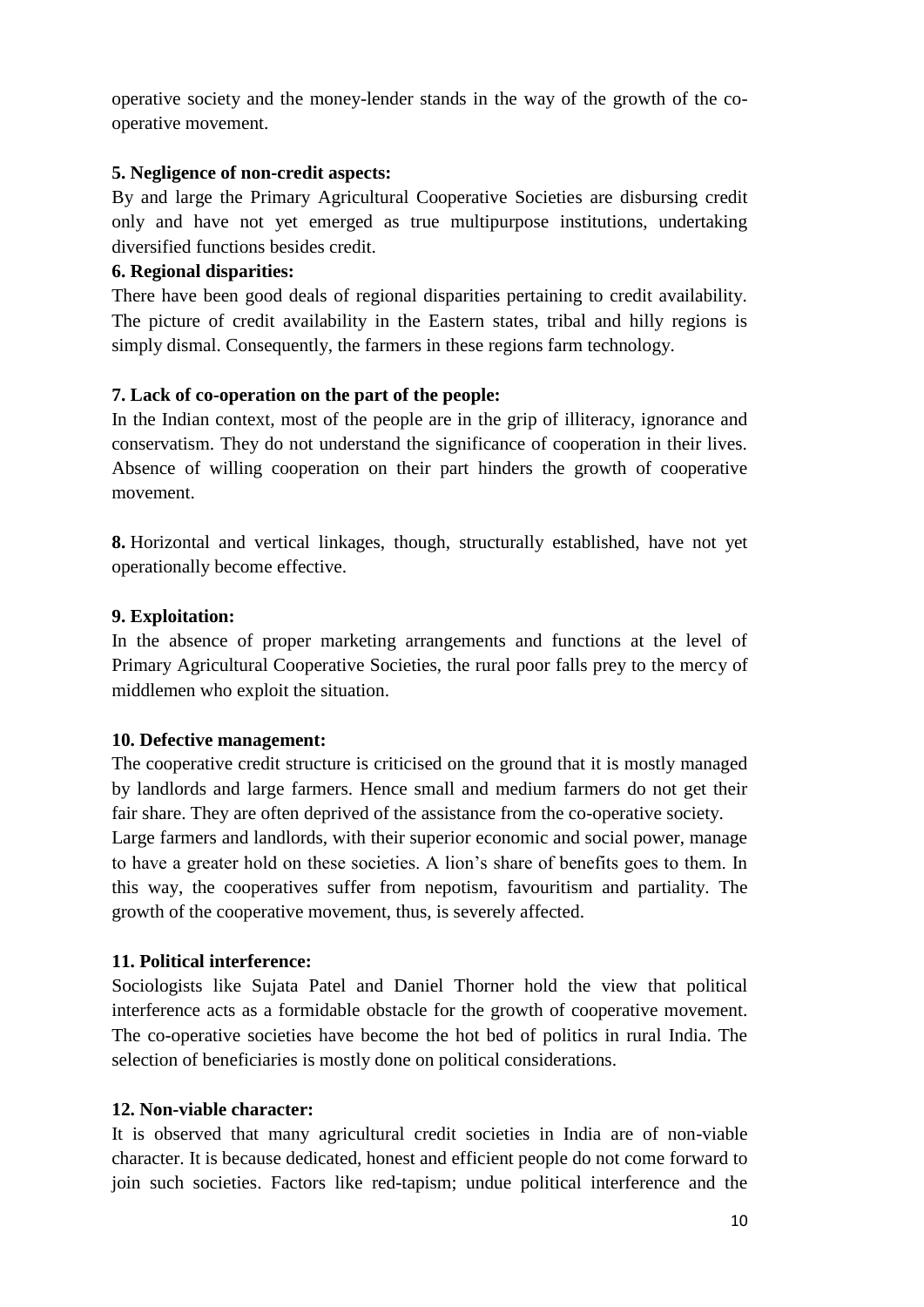- 5. It aims at effective integration of health concerns with determinates of health like sanitation, hygiene, nutrition and safe drinking water.
- 6. It seeks decentralization of programmes for district management of health.
- 7. It seeks to address the inter-state and inter-district disparities.
- 8. It shall define time bound goals and report publicity on their progress.
- 9. It seeks to improve access of rural people especially poor women and children to equitable affordable, accountable and effective primary healthcare.

# **Goals of NRHM:**

- 1. Reduction in Infant mortality rate (IMR) and maternal mortality Ratio (MMR).
- 2. Universal access to public health service such as women's health, child health, water, sanitation and hygiene, immunization and nutrition.
- 3. Prevention and control of communicable and non-communicable diseases, including locally endemic diseases.
- 4. Access to integrated comprehensive primary healthcare.
- 5. Population stabilization, gender and demographic balance.
- 6. Revitalize local health traditions and main stream AYUSH.
- 7. Promotion of healthy life styles.

# **4.4 STRATEGIES**

#### **a. Care Strategies:-**

- 1. Train and enhance capacity of Panchayati raj institutions (PRIs) to own, control and manage public health services.
- 2. Promote access to improved healthcare at household level through the female health activist (ASHA).
- 3. Strengthening sub centre, PHCs and CHCs.
- 4. Preparation and Implementation of an inter-sectoral district health plan.
- 5. Integrating vertical health and family welfare programmes at national, state, block and district levels.
- 6. Technical support to national, state and district health missions, for public health management.
- 7. Strengthening capacities for data collection, assessment and review for evidence based planning, monitoring and supervision.
- 8. Formulation of transparent policies for deployment and career development of human resources for health.
- 9. Developing capacities for preventive health care at all levels for promoting healthy life styles, reduction in consumption of tobacco and alcohol etc.

# b. **Supplementary Strategies**

- 1. Regulation of private sector including the informal rural practitioners to insure availability of quality service to citizens at reasonable cost.
- 2. Promotion of public private partnerships for achieving public health goals.
- 3. Mains training AYUSH revitalizing local health traditions.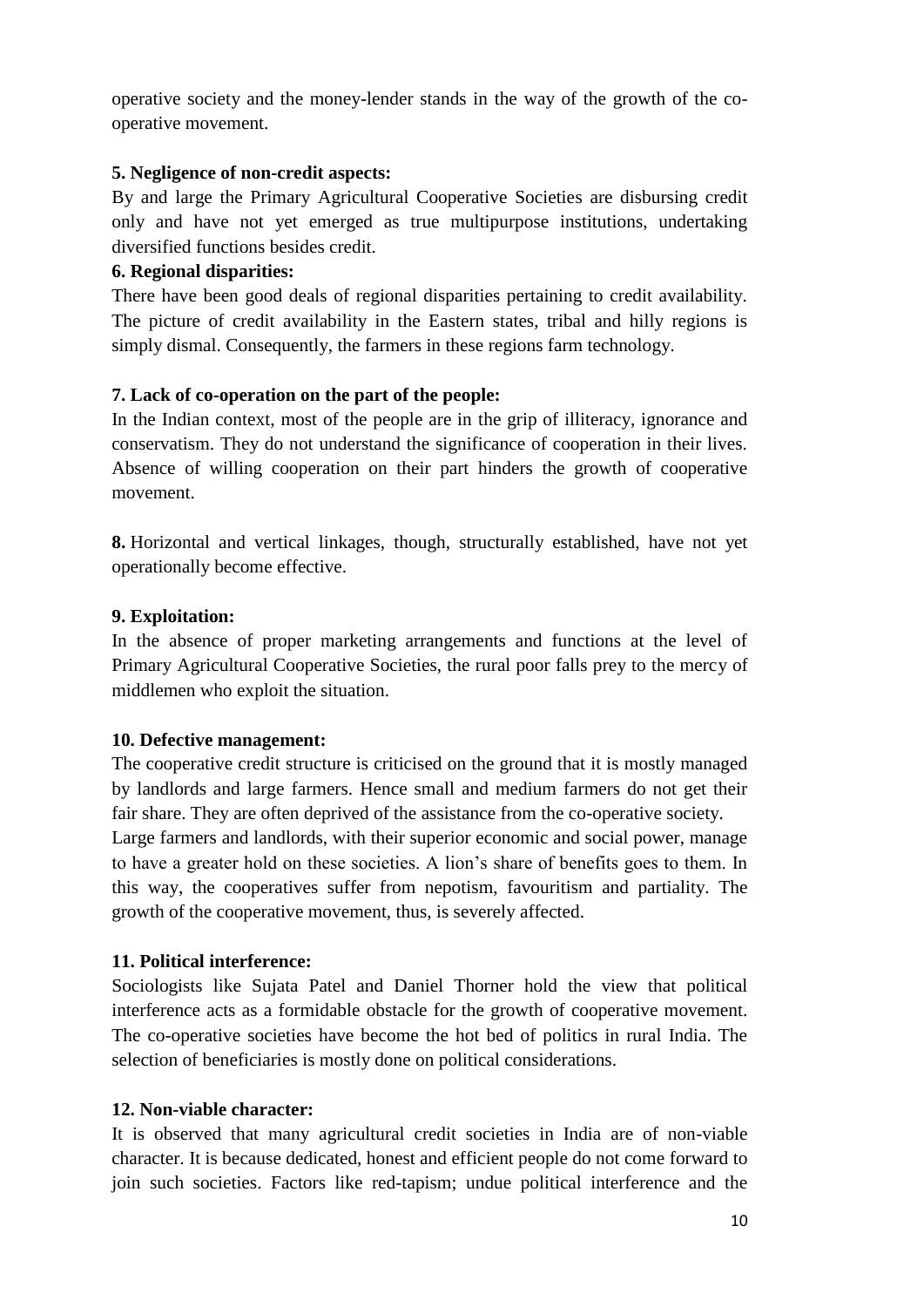- 4. Reasserting medical education to support rural health issues.
- 5. Effective and viable risk pooling and social health insurance to provide health security to the poor by ensuring good quality hospital care.

# **4.5 FUNCTIONS OF NRHM**

1. It operates through a network of sub centers like primary health centers and community health centers.

# **Sub centers:**

Each sub center will have an untied fund for local action @ Rs. 10,000 per annum. Supply of essential drugs, both allopathic and AYUSH, to the sub centers.

# **Primary Health Centers (PHC):**

- Providing health programmes, support for out rich service, regular supply of essential drugs and equipments round the clock service in all PHC across the country.
- Adequate and regular supply of essential quality of drugs and equipment.
- Provision of 24 hour service in 50% PHCs by addressing shortage of doctors, especially in high focus status, though main streaming AYUSH man power.
- Observation of standard treatment guidelines protocols.
- Provision of 2nd doctor at PHC level (1 male, 1 female) would be undertaken.
- Intensification of ongoing communicable disease control programmes.
- New programmes for control of non-communicable diseases.

# **Community Health Centres (CHC):**

- Operationalizing 3222 existing CHC (30-50 beds) as per 24 hour first referral units, including posting of anesthetists.
- Codification of new Indian public Health standards, setting norms for infrastructure, staff, equipment, management etc for CHCs.
- Promotion of stake holder committees for hospital management.
- Developing standards of services and costs in hospital care.
- Develop, display and ensure compliance to citizen's charter at CHC/PHC level.
- 2. Mobile Medical Units (MMU) facility to take health care to people at their doorsteps.

There are of two kinds:-

- Diagnostic facility specially designed for North-Eastern States, Jammu & Kashmir and Himachal Pradesh due to their difficult hilly terraces.
- Diagnostic plus services such as X-RAY, ECG and ultrasound.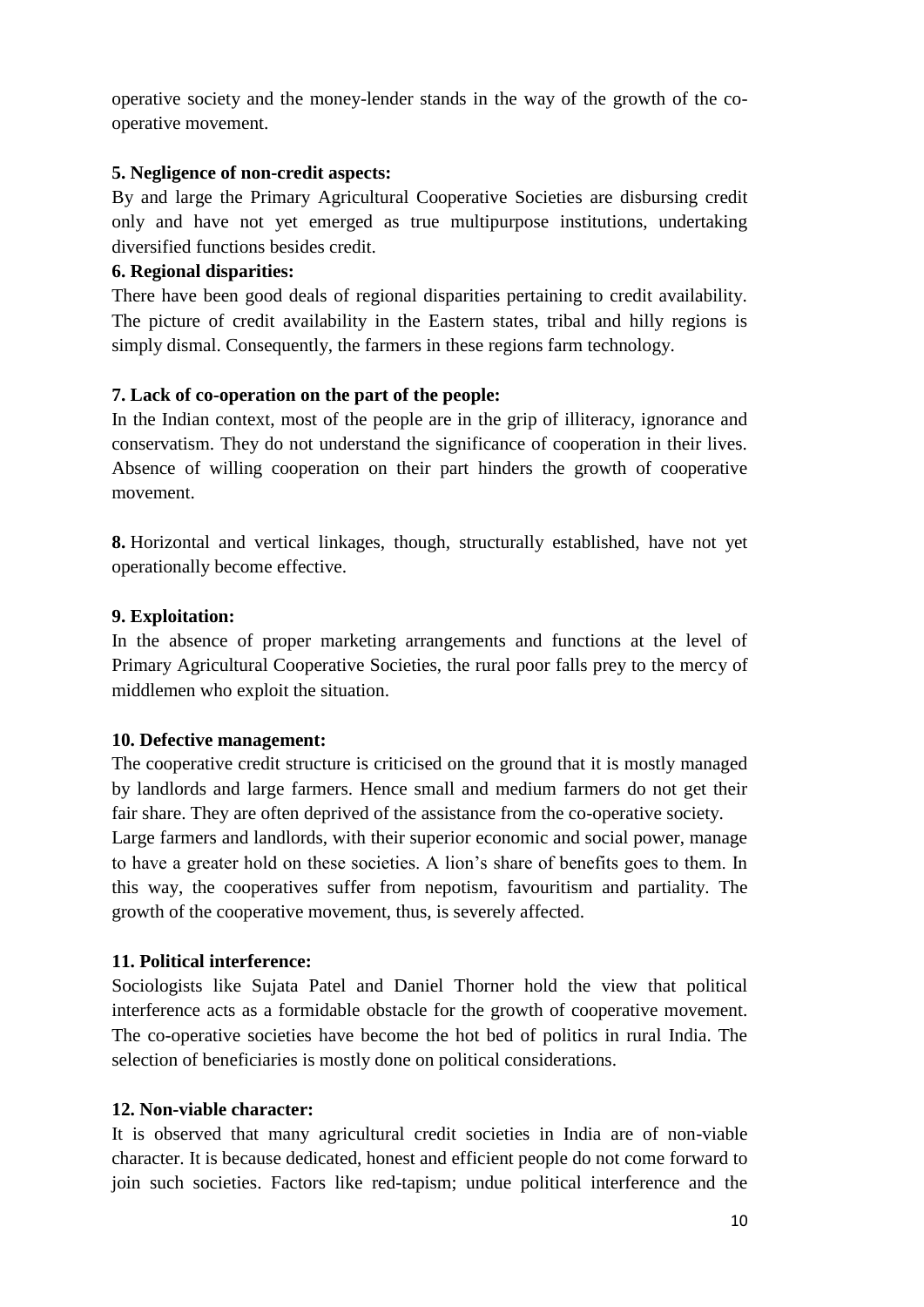# **Present Health Care Programmes:**

- 1. Janani Suraksha Yojana (JSY) It has been launched on 12th April 2005. The objectives of the scheme are reducing maternal mortality, infant mortality through increased delivery at health institutions.
- 2. Vande Mataram Scheme –It was launched on 9th February 2004. It is a major initiative in public private partnership with the federation of obstetric and gynecological society of India (FOGSI). It volunteered to reduce maternal mortality and improving health of women particularly during pregnancy and child birth.
- 3. Rogi Kalyan Samiti: It aims to provide cashless hospital services to poor at P.H.C, C.H.C and district hospitals.
- 4. Rashtriya Arogya Nidhi-It provides finance to patients living B.P.L who suffer life threating diseases to receive medical treatment in government hospitals.
- 5. Navjaat sishu Surakhya Karyakram-It provides protection to the new borns. It address acre at birth and reduce neonatal mortality.
- 6. Nutritional Rehabilitation Centre-It talks about treatment of acute mal nutrition.
- 7. School Health Programme (SHP) Its trust is health check up, treatment of minor ailments. It provides immunization services.
- 8. Universal immunization programme-It provides protection of children from life threatening conditions which are preventable vaccination is carried out to present seven vaccine preventable diseases.
	- Diphtheria
	- Pertussis
	- Tetanus
	- Polio
	- Measles
	- Severe form of childhood T.B
	- Hepatitis B.

# **Check Your Progress – 4.1**

**Note:** a) Use the space provided for your answers. b) Check your answers with the possible answers provided at the end of this unit.

Q1. NRHM was set up on which year? Ans-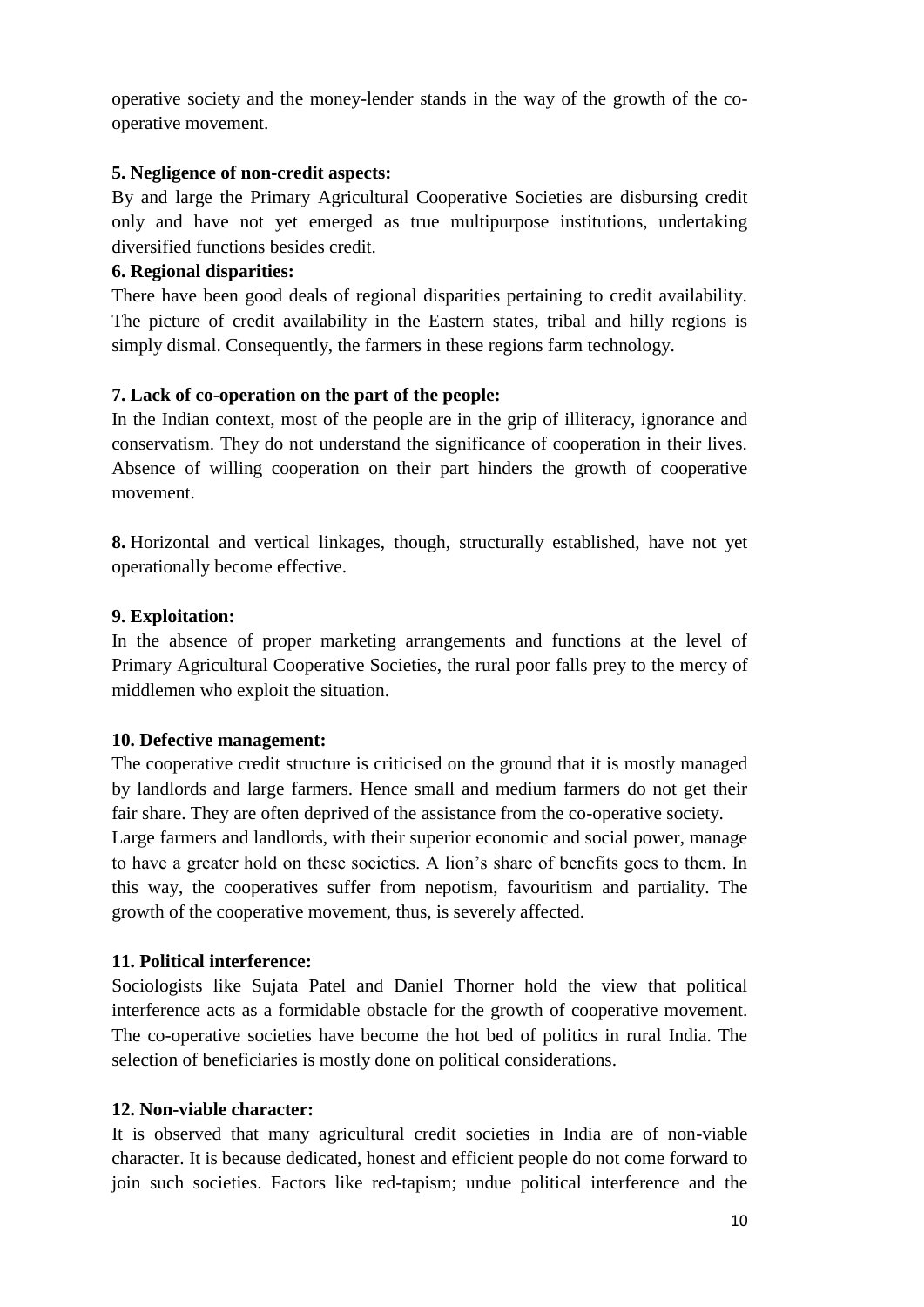#### **4.6 LET US SUM UP**

- The National Rural Health Mission (NRHM) has been launched on 12th April 2005 by Hon'ble Prime Minister.
- To bridging the gap in Rural health care services through the creation of a cadre of accredited social health activists (ASMA) and improved hospital care decentralization of programme to district level to improve intra and intersectoral convergence and utilization of resources.
- Reduction in Infant mortality rate (IMR) and maternal mortality Ratio (MMR).
- Janani Suraksha Yojana (JSY) It has been launched on 12th April 2005. The objectives of the scheme are reducing maternal mortality, infant mortality through increased delivery at health institutions.

# **4.7 GLOSSARY**

**Mortality –** Refers to the state of being mortal (destined to die). It is also used for death rate, or the number of deaths in a certain group of people in a certain period of time.

**Reproduction -** It is the biological process by which new individual organisms – "offspring" – are produced from their "parents"

#### **4.8 CHECK YOUR PROGRESS: ANSWER KEYS**

Ans to Q1-The National Rural Health Mission (NRHM) has been launched on 12th April 2005 .

#### **4.9 MODEL QUESTIONS**

- 1. Discuss the main aim of NHRM.
- 2. Explain the major functions of NRHM.

#### **4.10 REFERENCE**

- Janani Suraksha Yojana, *Guiedline for Implementation.* National Rural Health Mission Miinistry of Health and Family Welfare, Government of India.
- National Rural Health Mission.*.* Ministry of Health and Family Welfare. Government of India.
- Indian Public Health Standard (IPHS) for Community Health Centres (Revised). Directorate general of health service .National Rural Health Mission. Ministry of Health and Family Welfare. Government of India (2007).